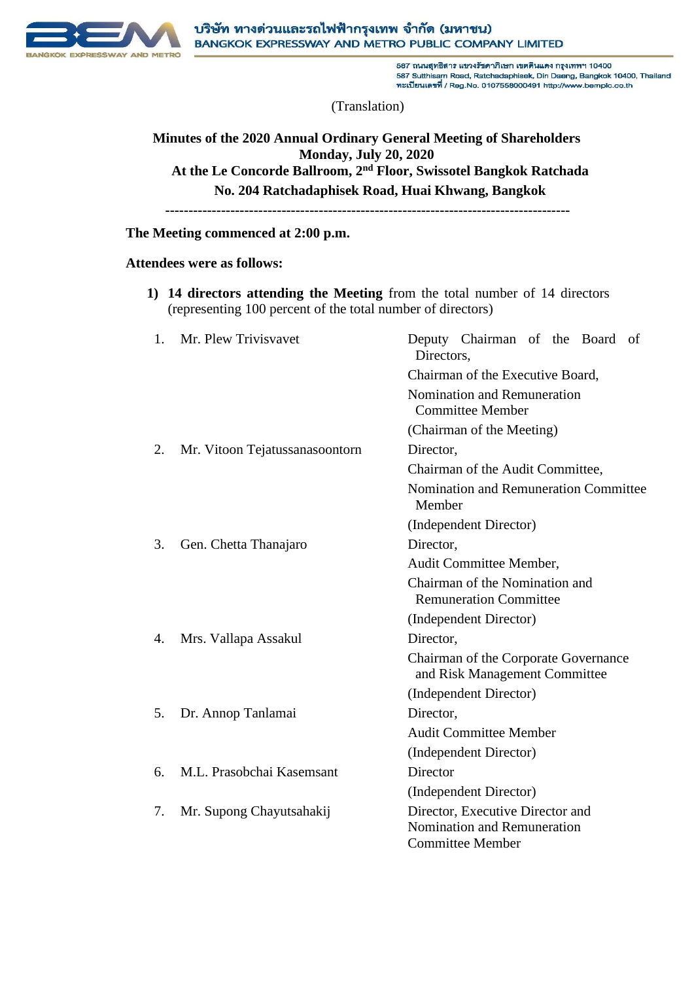

587 ถนนสุทธิสาร แขวงรัชดาภิเษก เขตตินแดง กรุงเทพฯ 10400 587 Sutthisam Road, Ratchadaphisek, Din Daeng, Bangkok 10400, Thailand ทะเบียนเลขที่ / Reg.No. 0107558000491 http://www.bemplc.co.th

(Translation)

# **Minutes of the 2020 Annual Ordinary General Meeting of Shareholders Monday, July 20, 2020 At the Le Concorde Ballroom, 2nd Floor, Swissotel Bangkok Ratchada No. 204 Ratchadaphisek Road, Huai Khwang, Bangkok**

**---------------------------------------------------------------------------------------**

### **The Meeting commenced at 2:00 p.m.**

## **Attendees were as follows:**

**1) 14 directors attending the Meeting** from the total number of 14 directors (representing 100 percent of the total number of directors)

| 1. | Mr. Plew Trivisvavet           | Deputy Chairman of the Board of<br>Directors,                                              |
|----|--------------------------------|--------------------------------------------------------------------------------------------|
|    |                                | Chairman of the Executive Board,                                                           |
|    |                                | <b>Nomination and Remuneration</b><br><b>Committee Member</b>                              |
|    |                                | (Chairman of the Meeting)                                                                  |
| 2. | Mr. Vitoon Tejatussanasoontorn | Director,                                                                                  |
|    |                                | Chairman of the Audit Committee,                                                           |
|    |                                | Nomination and Remuneration Committee<br>Member                                            |
|    |                                | (Independent Director)                                                                     |
| 3. | Gen. Chetta Thanajaro          | Director,                                                                                  |
|    |                                | Audit Committee Member,                                                                    |
|    |                                | Chairman of the Nomination and<br><b>Remuneration Committee</b>                            |
|    |                                | (Independent Director)                                                                     |
| 4. | Mrs. Vallapa Assakul           | Director,                                                                                  |
|    |                                | Chairman of the Corporate Governance<br>and Risk Management Committee                      |
|    |                                | (Independent Director)                                                                     |
| 5. | Dr. Annop Tanlamai             | Director,                                                                                  |
|    |                                | <b>Audit Committee Member</b>                                                              |
|    |                                | (Independent Director)                                                                     |
| 6. | M.L. Prasobchai Kasemsant      | Director                                                                                   |
|    |                                | (Independent Director)                                                                     |
| 7. | Mr. Supong Chayutsahakij       | Director, Executive Director and<br>Nomination and Remuneration<br><b>Committee Member</b> |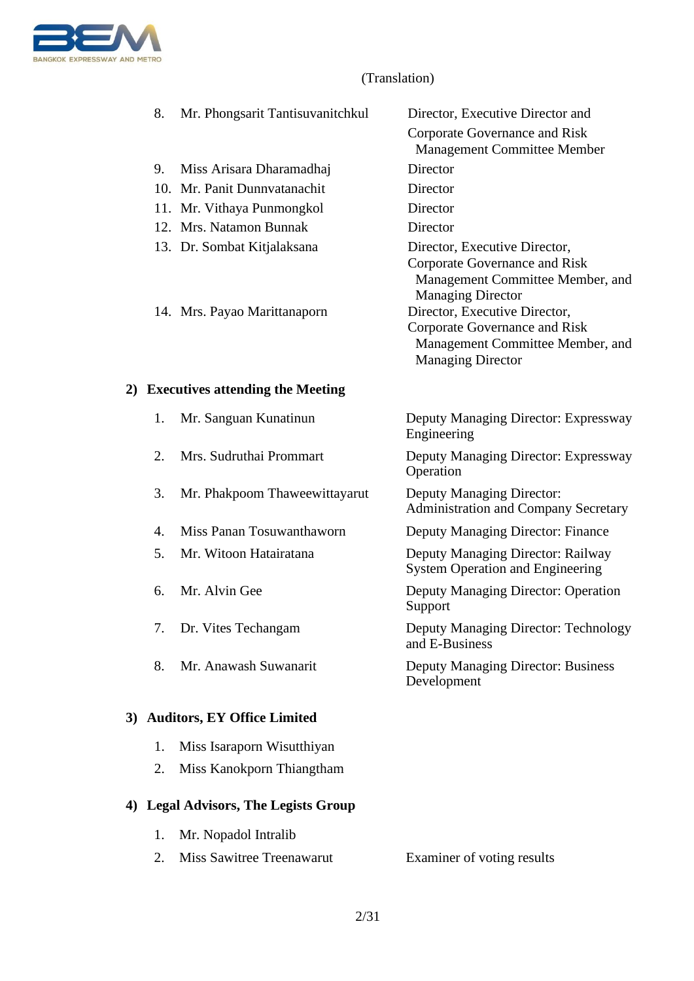

| 8.                                  | Mr. Phongsarit Tantisuvanitchkul | Director, Executive Director and                                                              |  |
|-------------------------------------|----------------------------------|-----------------------------------------------------------------------------------------------|--|
|                                     |                                  | Corporate Governance and Risk<br><b>Management Committee Member</b>                           |  |
| 9.                                  | Miss Arisara Dharamadhaj         | Director                                                                                      |  |
|                                     | 10. Mr. Panit Dunnyatanachit     | Director                                                                                      |  |
|                                     | 11. Mr. Vithaya Punmongkol       | Director                                                                                      |  |
|                                     | 12. Mrs. Natamon Bunnak          | Director                                                                                      |  |
|                                     | 13. Dr. Sombat Kitjalaksana      | Director, Executive Director,<br>Corporate Governance and Risk                                |  |
|                                     |                                  | Management Committee Member, and<br><b>Managing Director</b>                                  |  |
|                                     | 14. Mrs. Payao Marittanaporn     | Director, Executive Director,                                                                 |  |
|                                     |                                  | Corporate Governance and Risk<br>Management Committee Member, and<br><b>Managing Director</b> |  |
| 2) Executives attending the Meeting |                                  |                                                                                               |  |
| 1.                                  | Mr. Sanguan Kunatinun            | Deputy Managing Director: Expressway<br>Engineering                                           |  |
| 2.                                  | Mrs. Sudruthai Prommart          | Deputy Managing Director: Expressway<br>Operation                                             |  |
| 3.                                  | Mr. Phakpoom Thaweewittayarut    | Deputy Managing Director:<br><b>Administration and Company Secretary</b>                      |  |
| 4.                                  | Miss Panan Tosuwanthaworn        | <b>Deputy Managing Director: Finance</b>                                                      |  |
| 5.                                  | Mr. Witoon Hatairatana           | Deputy Managing Director: Railway<br><b>System Operation and Engineering</b>                  |  |
| 6.                                  | Mr. Alvin Gee                    | Deputy Managing Director: Operation<br>Support                                                |  |
| 7.                                  | Dr. Vites Techangam              | <b>Deputy Managing Director: Technology</b><br>and E-Business                                 |  |
| 8.                                  | Mr. Anawash Suwanarit            | <b>Deputy Managing Director: Business</b><br>Development                                      |  |
| 3) Auditors, EY Office Limited      |                                  |                                                                                               |  |

- 1. Miss Isaraporn Wisutthiyan
- 2. Miss Kanokporn Thiangtham

# **4) Legal Advisors, The Legists Group**

1. Mr. Nopadol Intralib 2. Miss Sawitree Treenawarut Examiner of voting results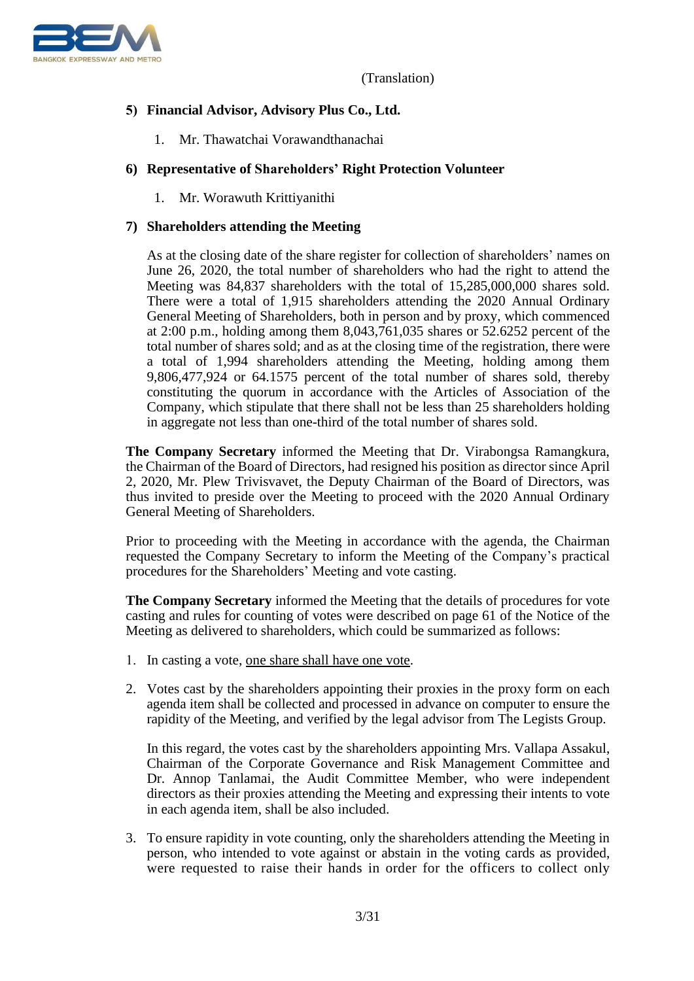

# **5) Financial Advisor, Advisory Plus Co., Ltd.**

1. Mr. Thawatchai Vorawandthanachai

# **6) Representative of Shareholders' Right Protection Volunteer**

1. Mr. Worawuth Krittiyanithi

# **7) Shareholders attending the Meeting**

As at the closing date of the share register for collection of shareholders' names on June 26, 2020, the total number of shareholders who had the right to attend the Meeting was 84,837 shareholders with the total of 15,285,000,000 shares sold. There were a total of 1,915 shareholders attending the 2020 Annual Ordinary General Meeting of Shareholders, both in person and by proxy, which commenced at 2:00 p.m., holding among them 8,043,761,035 shares or 52.6252 percent of the total number of shares sold; and as at the closing time of the registration, there were a total of 1,994 shareholders attending the Meeting, holding among them 9,806,477,924 or 64.1575 percent of the total number of shares sold, thereby constituting the quorum in accordance with the Articles of Association of the Company, which stipulate that there shall not be less than 25 shareholders holding in aggregate not less than one-third of the total number of shares sold.

**The Company Secretary** informed the Meeting that Dr. Virabongsa Ramangkura, the Chairman of the Board of Directors, had resigned his position as director since April 2, 2020, Mr. Plew Trivisvavet, the Deputy Chairman of the Board of Directors, was thus invited to preside over the Meeting to proceed with the 2020 Annual Ordinary General Meeting of Shareholders.

Prior to proceeding with the Meeting in accordance with the agenda, the Chairman requested the Company Secretary to inform the Meeting of the Company's practical procedures for the Shareholders' Meeting and vote casting.

**The Company Secretary** informed the Meeting that the details of procedures for vote casting and rules for counting of votes were described on page 61 of the Notice of the Meeting as delivered to shareholders, which could be summarized as follows:

- 1. In casting a vote, one share shall have one vote.
- 2. Votes cast by the shareholders appointing their proxies in the proxy form on each agenda item shall be collected and processed in advance on computer to ensure the rapidity of the Meeting, and verified by the legal advisor from The Legists Group.

In this regard, the votes cast by the shareholders appointing Mrs. Vallapa Assakul, Chairman of the Corporate Governance and Risk Management Committee and Dr. Annop Tanlamai, the Audit Committee Member, who were independent directors as their proxies attending the Meeting and expressing their intents to vote in each agenda item, shall be also included.

3. To ensure rapidity in vote counting, only the shareholders attending the Meeting in person, who intended to vote against or abstain in the voting cards as provided, were requested to raise their hands in order for the officers to collect only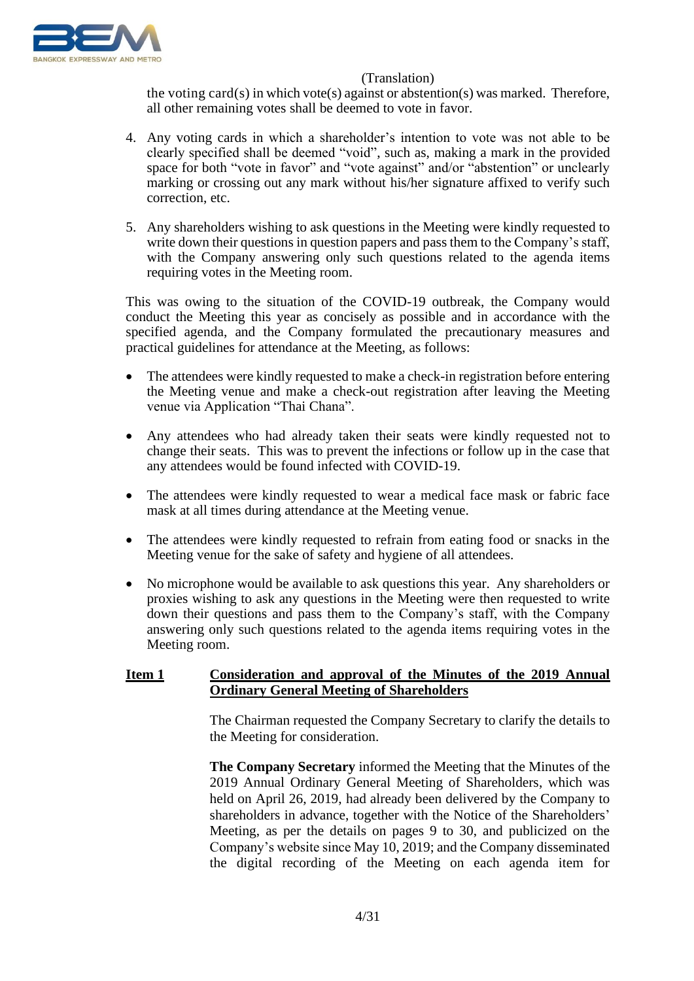

the voting card(s) in which vote(s) against or abstention(s) was marked. Therefore, all other remaining votes shall be deemed to vote in favor.

- 4. Any voting cards in which a shareholder's intention to vote was not able to be clearly specified shall be deemed "void", such as, making a mark in the provided space for both "vote in favor" and "vote against" and/or "abstention" or unclearly marking or crossing out any mark without his/her signature affixed to verify such correction, etc.
- 5. Any shareholders wishing to ask questions in the Meeting were kindly requested to write down their questions in question papers and pass them to the Company's staff, with the Company answering only such questions related to the agenda items requiring votes in the Meeting room.

This was owing to the situation of the COVID-19 outbreak, the Company would conduct the Meeting this year as concisely as possible and in accordance with the specified agenda, and the Company formulated the precautionary measures and practical guidelines for attendance at the Meeting, as follows:

- The attendees were kindly requested to make a check-in registration before entering the Meeting venue and make a check-out registration after leaving the Meeting venue via Application "Thai Chana".
- Any attendees who had already taken their seats were kindly requested not to change their seats. This was to prevent the infections or follow up in the case that any attendees would be found infected with COVID-19.
- The attendees were kindly requested to wear a medical face mask or fabric face mask at all times during attendance at the Meeting venue.
- The attendees were kindly requested to refrain from eating food or snacks in the Meeting venue for the sake of safety and hygiene of all attendees.
- No microphone would be available to ask questions this year. Any shareholders or proxies wishing to ask any questions in the Meeting were then requested to write down their questions and pass them to the Company's staff, with the Company answering only such questions related to the agenda items requiring votes in the Meeting room.

# **Item 1 Consideration and approval of the Minutes of the 2019 Annual Ordinary General Meeting of Shareholders**

The Chairman requested the Company Secretary to clarify the details to the Meeting for consideration.

**The Company Secretary** informed the Meeting that the Minutes of the 2019 Annual Ordinary General Meeting of Shareholders, which was held on April 26, 2019, had already been delivered by the Company to shareholders in advance, together with the Notice of the Shareholders' Meeting, as per the details on pages 9 to 30, and publicized on the Company's website since May 10, 2019; and the Company disseminated the digital recording of the Meeting on each agenda item for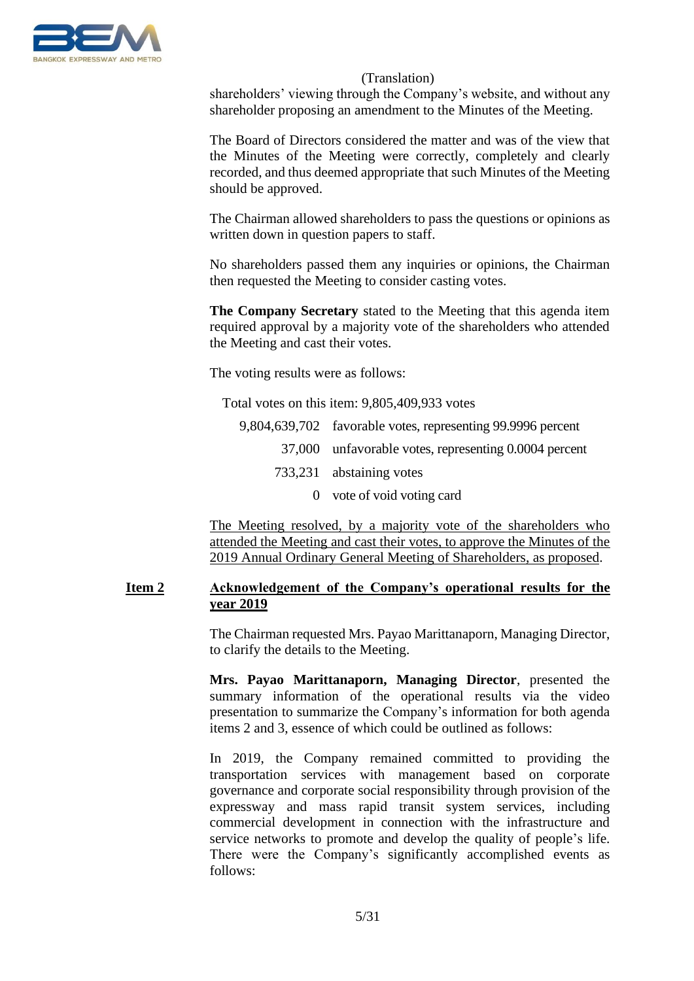

shareholders' viewing through the Company's website, and without any shareholder proposing an amendment to the Minutes of the Meeting.

The Board of Directors considered the matter and was of the view that the Minutes of the Meeting were correctly, completely and clearly recorded, and thus deemed appropriate that such Minutes of the Meeting should be approved.

The Chairman allowed shareholders to pass the questions or opinions as written down in question papers to staff.

No shareholders passed them any inquiries or opinions, the Chairman then requested the Meeting to consider casting votes.

**The Company Secretary** stated to the Meeting that this agenda item required approval by a majority vote of the shareholders who attended the Meeting and cast their votes.

The voting results were as follows:

Total votes on this item: 9,805,409,933 votes

| 9,804,639,702 favorable votes, representing 99.9996 percent |
|-------------------------------------------------------------|
| 37,000 unfavorable votes, representing 0.0004 percent       |
| 733,231 abstaining votes                                    |
| 0 vote of void voting card                                  |

The Meeting resolved, by a majority vote of the shareholders who attended the Meeting and cast their votes, to approve the Minutes of the 2019 Annual Ordinary General Meeting of Shareholders, as proposed.

### **Item 2 Acknowledgement of the Company's operational results for the year 2019**

The Chairman requested Mrs. Payao Marittanaporn, Managing Director, to clarify the details to the Meeting.

**Mrs. Payao Marittanaporn, Managing Director**, presented the summary information of the operational results via the video presentation to summarize the Company's information for both agenda items 2 and 3, essence of which could be outlined as follows:

In 2019, the Company remained committed to providing the transportation services with management based on corporate governance and corporate social responsibility through provision of the expressway and mass rapid transit system services, including commercial development in connection with the infrastructure and service networks to promote and develop the quality of people's life. There were the Company's significantly accomplished events as follows: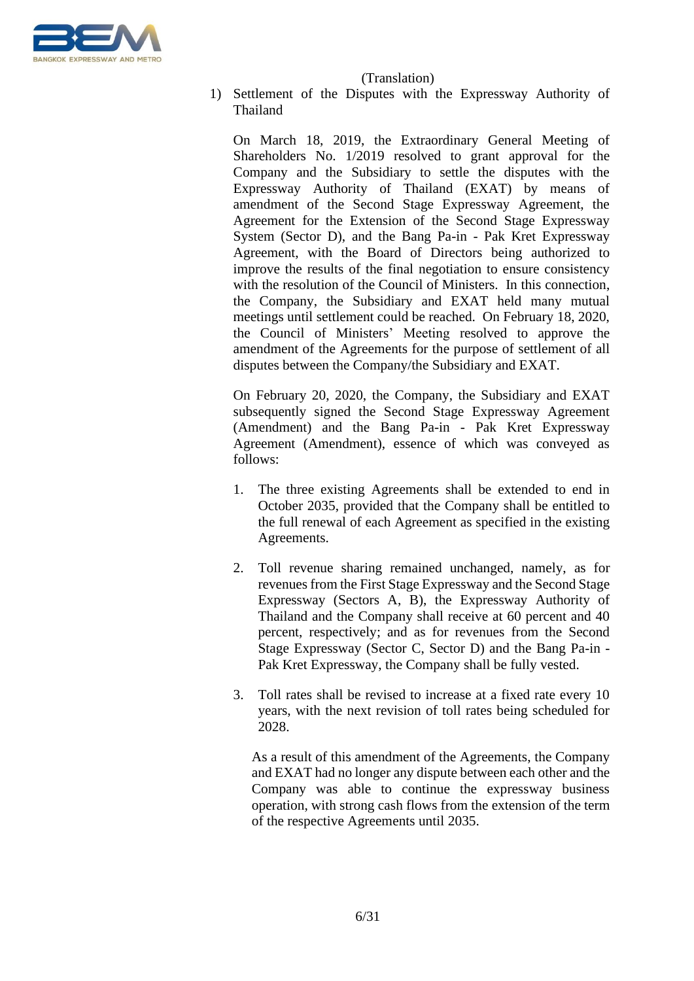

1) Settlement of the Disputes with the Expressway Authority of Thailand

On March 18, 2019, the Extraordinary General Meeting of Shareholders No. 1/2019 resolved to grant approval for the Company and the Subsidiary to settle the disputes with the Expressway Authority of Thailand (EXAT) by means of amendment of the Second Stage Expressway Agreement, the Agreement for the Extension of the Second Stage Expressway System (Sector D), and the Bang Pa-in - Pak Kret Expressway Agreement, with the Board of Directors being authorized to improve the results of the final negotiation to ensure consistency with the resolution of the Council of Ministers. In this connection, the Company, the Subsidiary and EXAT held many mutual meetings until settlement could be reached. On February 18, 2020, the Council of Ministers' Meeting resolved to approve the amendment of the Agreements for the purpose of settlement of all disputes between the Company/the Subsidiary and EXAT.

On February 20, 2020, the Company, the Subsidiary and EXAT subsequently signed the Second Stage Expressway Agreement (Amendment) and the Bang Pa-in - Pak Kret Expressway Agreement (Amendment), essence of which was conveyed as follows:

- 1. The three existing Agreements shall be extended to end in October 2035, provided that the Company shall be entitled to the full renewal of each Agreement as specified in the existing Agreements.
- 2. Toll revenue sharing remained unchanged, namely, as for revenues from the First Stage Expressway and the Second Stage Expressway (Sectors A, B), the Expressway Authority of Thailand and the Company shall receive at 60 percent and 40 percent, respectively; and as for revenues from the Second Stage Expressway (Sector C, Sector D) and the Bang Pa-in - Pak Kret Expressway, the Company shall be fully vested.
- 3. Toll rates shall be revised to increase at a fixed rate every 10 years, with the next revision of toll rates being scheduled for 2028.

As a result of this amendment of the Agreements, the Company and EXAT had no longer any dispute between each other and the Company was able to continue the expressway business operation, with strong cash flows from the extension of the term of the respective Agreements until 2035.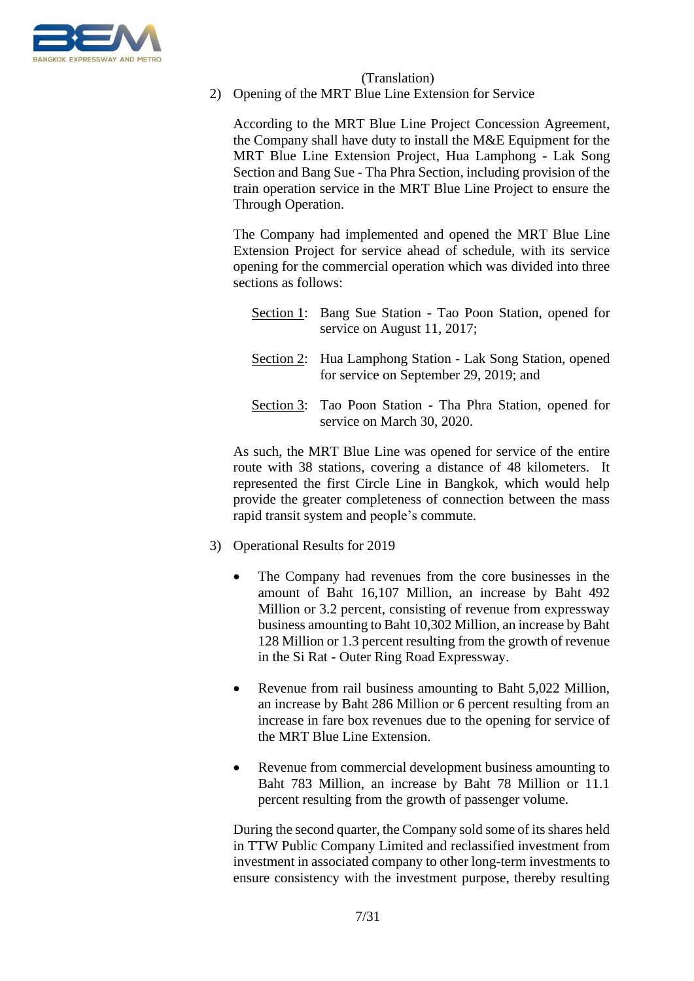

2) Opening of the MRT Blue Line Extension for Service

According to the MRT Blue Line Project Concession Agreement, the Company shall have duty to install the M&E Equipment for the MRT Blue Line Extension Project, Hua Lamphong - Lak Song Section and Bang Sue - Tha Phra Section, including provision of the train operation service in the MRT Blue Line Project to ensure the Through Operation.

The Company had implemented and opened the MRT Blue Line Extension Project for service ahead of schedule, with its service opening for the commercial operation which was divided into three sections as follows:

| Section 1: Bang Sue Station - Tao Poon Station, opened for<br>service on August 11, 2017;            |
|------------------------------------------------------------------------------------------------------|
| Section 2: Hua Lamphong Station - Lak Song Station, opened<br>for service on September 29, 2019; and |
| Section 3: Tao Poon Station - Tha Phra Station, opened for<br>service on March 30, 2020.             |

As such, the MRT Blue Line was opened for service of the entire route with 38 stations, covering a distance of 48 kilometers. It represented the first Circle Line in Bangkok, which would help provide the greater completeness of connection between the mass rapid transit system and people's commute.

- 3) Operational Results for 2019
	- The Company had revenues from the core businesses in the amount of Baht 16,107 Million, an increase by Baht 492 Million or 3.2 percent, consisting of revenue from expressway business amounting to Baht 10,302 Million, an increase by Baht 128 Million or 1.3 percent resulting from the growth of revenue in the Si Rat - Outer Ring Road Expressway.
	- Revenue from rail business amounting to Baht 5,022 Million, an increase by Baht 286 Million or 6 percent resulting from an increase in fare box revenues due to the opening for service of the MRT Blue Line Extension.
	- Revenue from commercial development business amounting to Baht 783 Million, an increase by Baht 78 Million or 11.1 percent resulting from the growth of passenger volume.

During the second quarter, the Company sold some of its shares held in TTW Public Company Limited and reclassified investment from investment in associated company to other long-term investments to ensure consistency with the investment purpose, thereby resulting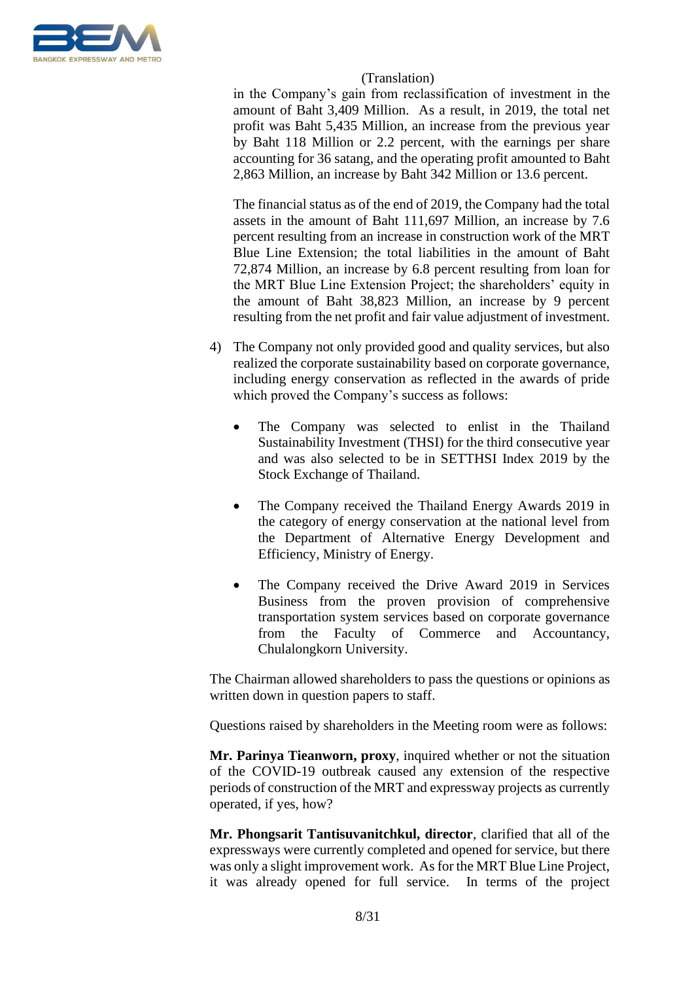

in the Company's gain from reclassification of investment in the amount of Baht 3,409 Million. As a result, in 2019, the total net profit was Baht 5,435 Million, an increase from the previous year by Baht 118 Million or 2.2 percent, with the earnings per share accounting for 36 satang, and the operating profit amounted to Baht 2,863 Million, an increase by Baht 342 Million or 13.6 percent.

The financial status as of the end of 2019, the Company had the total assets in the amount of Baht 111,697 Million, an increase by 7.6 percent resulting from an increase in construction work of the MRT Blue Line Extension; the total liabilities in the amount of Baht 72,874 Million, an increase by 6.8 percent resulting from loan for the MRT Blue Line Extension Project; the shareholders' equity in the amount of Baht 38,823 Million, an increase by 9 percent resulting from the net profit and fair value adjustment of investment.

- 4) The Company not only provided good and quality services, but also realized the corporate sustainability based on corporate governance, including energy conservation as reflected in the awards of pride which proved the Company's success as follows:
	- The Company was selected to enlist in the Thailand Sustainability Investment (THSI) for the third consecutive year and was also selected to be in SETTHSI Index 2019 by the Stock Exchange of Thailand.
	- The Company received the Thailand Energy Awards 2019 in the category of energy conservation at the national level from the Department of Alternative Energy Development and Efficiency, Ministry of Energy.
	- The Company received the Drive Award 2019 in Services Business from the proven provision of comprehensive transportation system services based on corporate governance from the Faculty of Commerce and Accountancy, Chulalongkorn University.

The Chairman allowed shareholders to pass the questions or opinions as written down in question papers to staff.

Questions raised by shareholders in the Meeting room were as follows:

**Mr. Parinya Tieanworn, proxy**, inquired whether or not the situation of the COVID-19 outbreak caused any extension of the respective periods of construction of the MRT and expressway projects as currently operated, if yes, how?

**Mr. Phongsarit Tantisuvanitchkul, director**, clarified that all of the expressways were currently completed and opened for service, but there was only a slight improvement work. As for the MRT Blue Line Project, it was already opened for full service. In terms of the project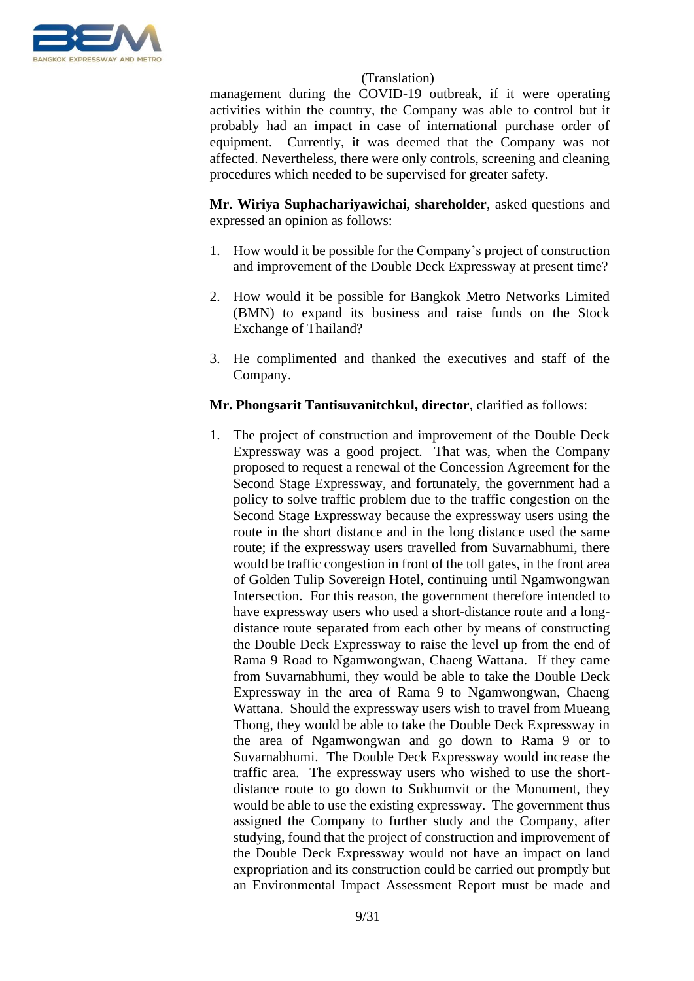

management during the COVID-19 outbreak, if it were operating activities within the country, the Company was able to control but it probably had an impact in case of international purchase order of equipment. Currently, it was deemed that the Company was not affected. Nevertheless, there were only controls, screening and cleaning procedures which needed to be supervised for greater safety.

**Mr. Wiriya Suphachariyawichai, shareholder**, asked questions and expressed an opinion as follows:

- 1. How would it be possible for the Company's project of construction and improvement of the Double Deck Expressway at present time?
- 2. How would it be possible for Bangkok Metro Networks Limited (BMN) to expand its business and raise funds on the Stock Exchange of Thailand?
- 3. He complimented and thanked the executives and staff of the Company.

# **Mr. Phongsarit Tantisuvanitchkul, director**, clarified as follows:

1. The project of construction and improvement of the Double Deck Expressway was a good project. That was, when the Company proposed to request a renewal of the Concession Agreement for the Second Stage Expressway, and fortunately, the government had a policy to solve traffic problem due to the traffic congestion on the Second Stage Expressway because the expressway users using the route in the short distance and in the long distance used the same route; if the expressway users travelled from Suvarnabhumi, there would be traffic congestion in front of the toll gates, in the front area of Golden Tulip Sovereign Hotel, continuing until Ngamwongwan Intersection. For this reason, the government therefore intended to have expressway users who used a short-distance route and a longdistance route separated from each other by means of constructing the Double Deck Expressway to raise the level up from the end of Rama 9 Road to Ngamwongwan, Chaeng Wattana. If they came from Suvarnabhumi, they would be able to take the Double Deck Expressway in the area of Rama 9 to Ngamwongwan, Chaeng Wattana. Should the expressway users wish to travel from Mueang Thong, they would be able to take the Double Deck Expressway in the area of Ngamwongwan and go down to Rama 9 or to Suvarnabhumi. The Double Deck Expressway would increase the traffic area. The expressway users who wished to use the shortdistance route to go down to Sukhumvit or the Monument, they would be able to use the existing expressway. The government thus assigned the Company to further study and the Company, after studying, found that the project of construction and improvement of the Double Deck Expressway would not have an impact on land expropriation and its construction could be carried out promptly but an Environmental Impact Assessment Report must be made and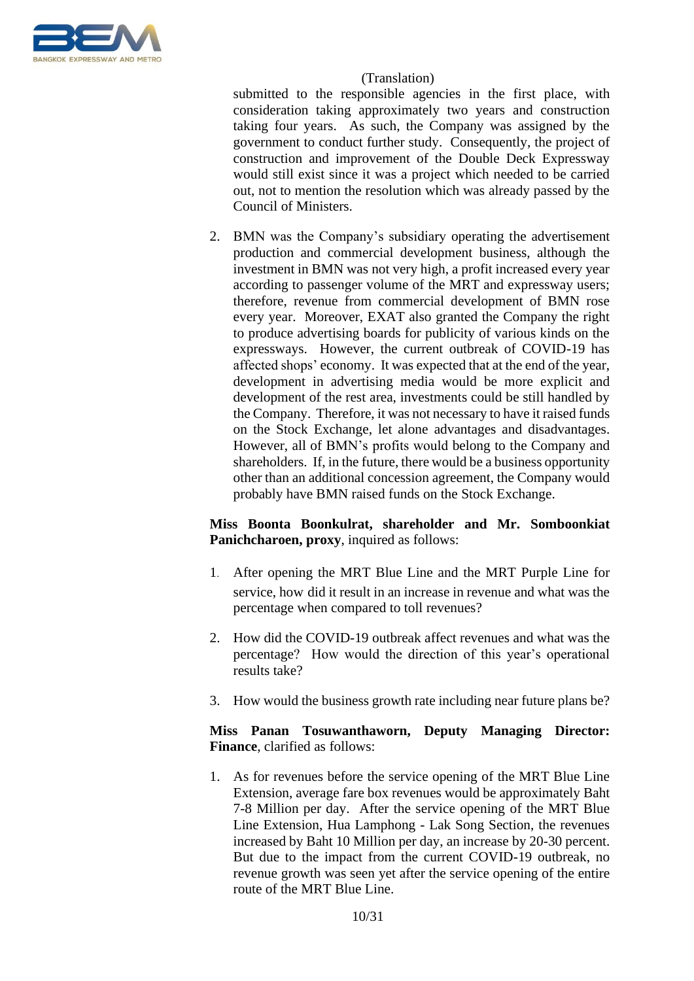

submitted to the responsible agencies in the first place, with consideration taking approximately two years and construction taking four years. As such, the Company was assigned by the government to conduct further study. Consequently, the project of construction and improvement of the Double Deck Expressway would still exist since it was a project which needed to be carried out, not to mention the resolution which was already passed by the Council of Ministers.

2. BMN was the Company's subsidiary operating the advertisement production and commercial development business, although the investment in BMN was not very high, a profit increased every year according to passenger volume of the MRT and expressway users; therefore, revenue from commercial development of BMN rose every year. Moreover, EXAT also granted the Company the right to produce advertising boards for publicity of various kinds on the expressways. However, the current outbreak of COVID-19 has affected shops' economy. It was expected that at the end of the year, development in advertising media would be more explicit and development of the rest area, investments could be still handled by the Company. Therefore, it was not necessary to have it raised funds on the Stock Exchange, let alone advantages and disadvantages. However, all of BMN's profits would belong to the Company and shareholders. If, in the future, there would be a business opportunity other than an additional concession agreement, the Company would probably have BMN raised funds on the Stock Exchange.

# **Miss Boonta Boonkulrat, shareholder and Mr. Somboonkiat Panichcharoen, proxy**, inquired as follows:

- 1. After opening the MRT Blue Line and the MRT Purple Line for service, how did it result in an increase in revenue and what was the percentage when compared to toll revenues?
- 2. How did the COVID-19 outbreak affect revenues and what was the percentage? How would the direction of this year's operational results take?
- 3. How would the business growth rate including near future plans be?

**Miss Panan Tosuwanthaworn, Deputy Managing Director: Finance**, clarified as follows:

1. As for revenues before the service opening of the MRT Blue Line Extension, average fare box revenues would be approximately Baht 7-8 Million per day. After the service opening of the MRT Blue Line Extension, Hua Lamphong - Lak Song Section, the revenues increased by Baht 10 Million per day, an increase by 20-30 percent. But due to the impact from the current COVID-19 outbreak, no revenue growth was seen yet after the service opening of the entire route of the MRT Blue Line.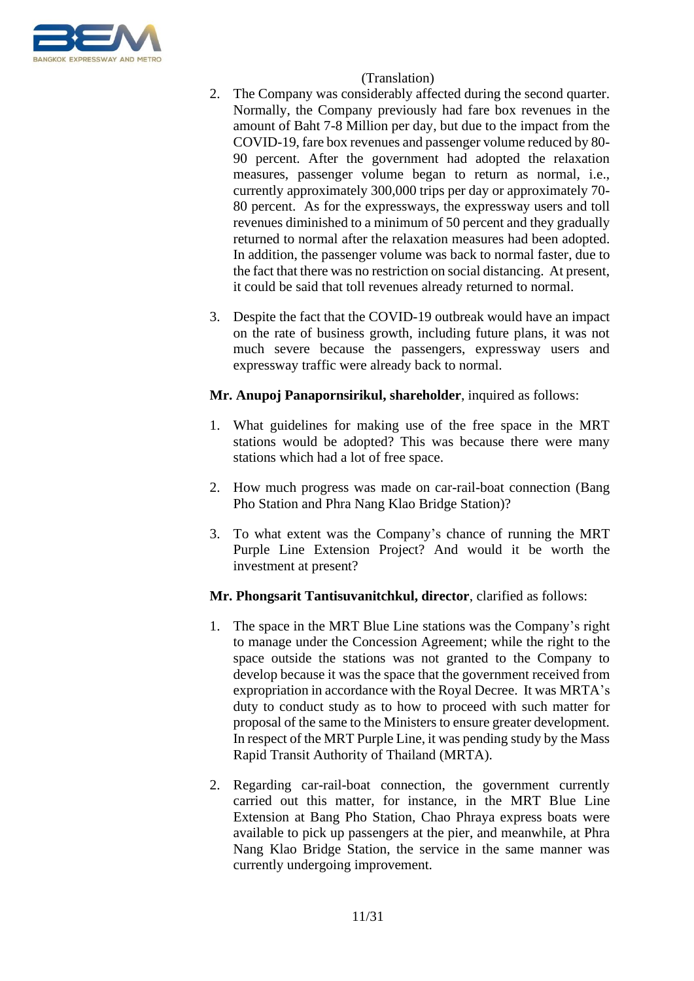

- 2. The Company was considerably affected during the second quarter. Normally, the Company previously had fare box revenues in the amount of Baht 7-8 Million per day, but due to the impact from the COVID-19, fare box revenues and passenger volume reduced by 80- 90 percent. After the government had adopted the relaxation measures, passenger volume began to return as normal, i.e., currently approximately 300,000 trips per day or approximately 70- 80 percent. As for the expressways, the expressway users and toll revenues diminished to a minimum of 50 percent and they gradually returned to normal after the relaxation measures had been adopted. In addition, the passenger volume was back to normal faster, due to the fact that there was no restriction on social distancing. At present, it could be said that toll revenues already returned to normal.
- 3. Despite the fact that the COVID-19 outbreak would have an impact on the rate of business growth, including future plans, it was not much severe because the passengers, expressway users and expressway traffic were already back to normal.

# **Mr. Anupoj Panapornsirikul, shareholder**, inquired as follows:

- 1. What guidelines for making use of the free space in the MRT stations would be adopted? This was because there were many stations which had a lot of free space.
- 2. How much progress was made on car-rail-boat connection (Bang Pho Station and Phra Nang Klao Bridge Station)?
- 3. To what extent was the Company's chance of running the MRT Purple Line Extension Project? And would it be worth the investment at present?

# **Mr. Phongsarit Tantisuvanitchkul, director**, clarified as follows:

- 1. The space in the MRT Blue Line stations was the Company's right to manage under the Concession Agreement; while the right to the space outside the stations was not granted to the Company to develop because it was the space that the government received from expropriation in accordance with the Royal Decree. It was MRTA's duty to conduct study as to how to proceed with such matter for proposal of the same to the Ministers to ensure greater development. In respect of the MRT Purple Line, it was pending study by the Mass Rapid Transit Authority of Thailand (MRTA).
- 2. Regarding car-rail-boat connection, the government currently carried out this matter, for instance, in the MRT Blue Line Extension at Bang Pho Station, Chao Phraya express boats were available to pick up passengers at the pier, and meanwhile, at Phra Nang Klao Bridge Station, the service in the same manner was currently undergoing improvement.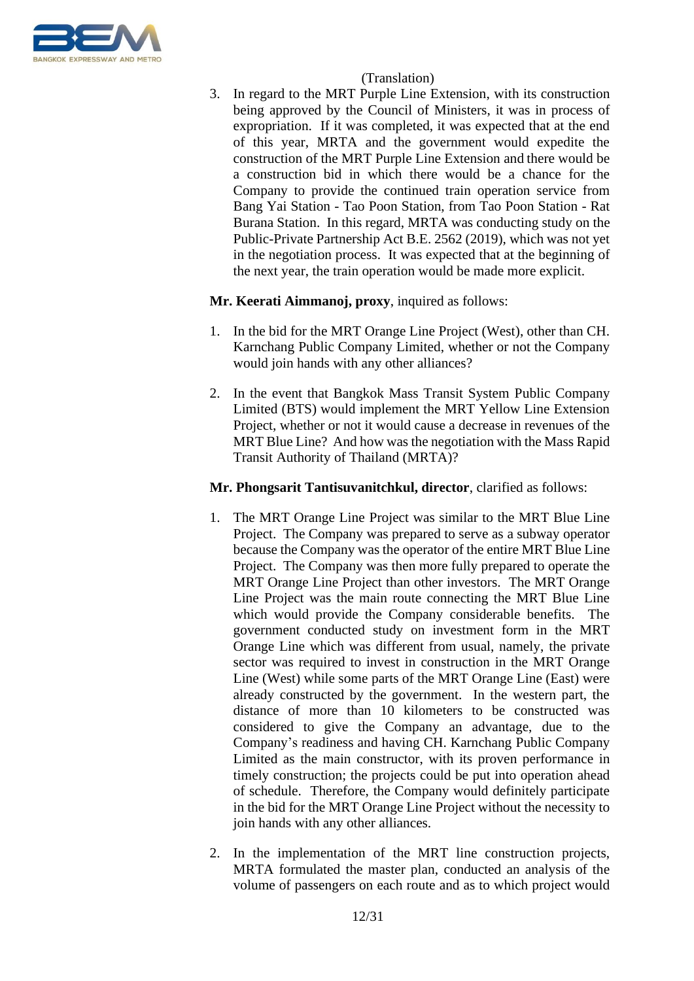

3. In regard to the MRT Purple Line Extension, with its construction being approved by the Council of Ministers, it was in process of expropriation. If it was completed, it was expected that at the end of this year, MRTA and the government would expedite the construction of the MRT Purple Line Extension and there would be a construction bid in which there would be a chance for the Company to provide the continued train operation service from Bang Yai Station - Tao Poon Station, from Tao Poon Station - Rat Burana Station. In this regard, MRTA was conducting study on the Public-Private Partnership Act B.E. 2562 (2019), which was not yet in the negotiation process. It was expected that at the beginning of the next year, the train operation would be made more explicit.

# **Mr. Keerati Aimmanoj, proxy**, inquired as follows:

- 1. In the bid for the MRT Orange Line Project (West), other than CH. Karnchang Public Company Limited, whether or not the Company would join hands with any other alliances?
- 2. In the event that Bangkok Mass Transit System Public Company Limited (BTS) would implement the MRT Yellow Line Extension Project, whether or not it would cause a decrease in revenues of the MRT Blue Line? And how was the negotiation with the Mass Rapid Transit Authority of Thailand (MRTA)?

# **Mr. Phongsarit Tantisuvanitchkul, director**, clarified as follows:

- 1. The MRT Orange Line Project was similar to the MRT Blue Line Project. The Company was prepared to serve as a subway operator because the Company was the operator of the entire MRT Blue Line Project. The Company was then more fully prepared to operate the MRT Orange Line Project than other investors. The MRT Orange Line Project was the main route connecting the MRT Blue Line which would provide the Company considerable benefits. The government conducted study on investment form in the MRT Orange Line which was different from usual, namely, the private sector was required to invest in construction in the MRT Orange Line (West) while some parts of the MRT Orange Line (East) were already constructed by the government. In the western part, the distance of more than 10 kilometers to be constructed was considered to give the Company an advantage, due to the Company's readiness and having CH. Karnchang Public Company Limited as the main constructor, with its proven performance in timely construction; the projects could be put into operation ahead of schedule. Therefore, the Company would definitely participate in the bid for the MRT Orange Line Project without the necessity to join hands with any other alliances.
- 2. In the implementation of the MRT line construction projects, MRTA formulated the master plan, conducted an analysis of the volume of passengers on each route and as to which project would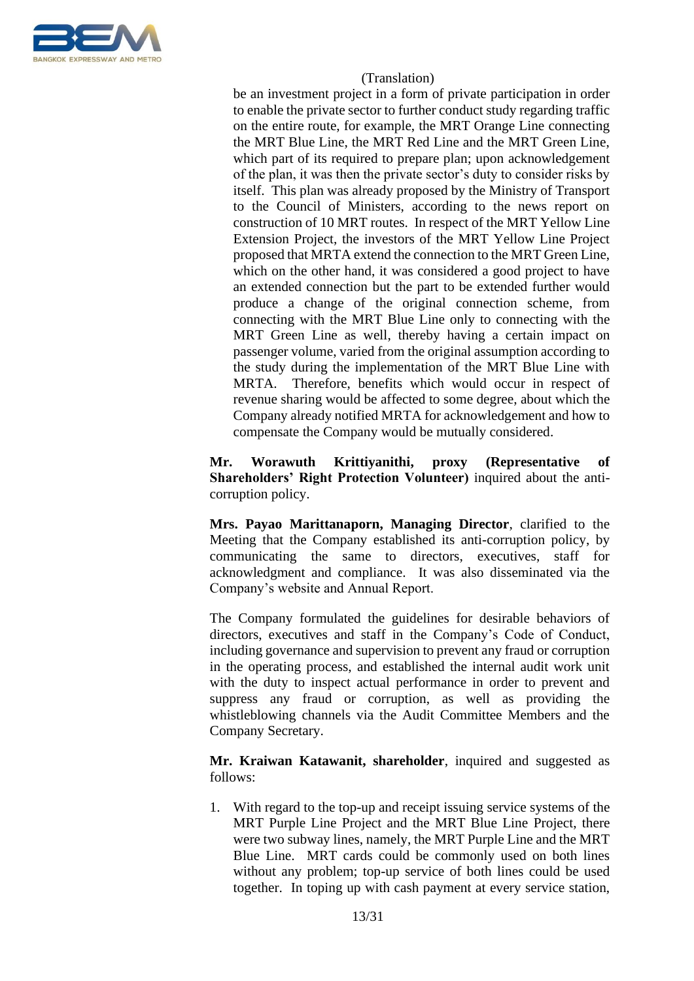

be an investment project in a form of private participation in order to enable the private sector to further conduct study regarding traffic on the entire route, for example, the MRT Orange Line connecting the MRT Blue Line, the MRT Red Line and the MRT Green Line, which part of its required to prepare plan; upon acknowledgement of the plan, it was then the private sector's duty to consider risks by itself. This plan was already proposed by the Ministry of Transport to the Council of Ministers, according to the news report on construction of 10 MRT routes. In respect of the MRT Yellow Line Extension Project, the investors of the MRT Yellow Line Project proposed that MRTA extend the connection to the MRT Green Line, which on the other hand, it was considered a good project to have an extended connection but the part to be extended further would produce a change of the original connection scheme, from connecting with the MRT Blue Line only to connecting with the MRT Green Line as well, thereby having a certain impact on passenger volume, varied from the original assumption according to the study during the implementation of the MRT Blue Line with MRTA. Therefore, benefits which would occur in respect of revenue sharing would be affected to some degree, about which the Company already notified MRTA for acknowledgement and how to compensate the Company would be mutually considered.

**Mr. Worawuth Krittiyanithi, proxy (Representative of Shareholders' Right Protection Volunteer)** inquired about the anticorruption policy.

**Mrs. Payao Marittanaporn, Managing Director**, clarified to the Meeting that the Company established its anti-corruption policy, by communicating the same to directors, executives, staff for acknowledgment and compliance. It was also disseminated via the Company's website and Annual Report.

The Company formulated the guidelines for desirable behaviors of directors, executives and staff in the Company's Code of Conduct, including governance and supervision to prevent any fraud or corruption in the operating process, and established the internal audit work unit with the duty to inspect actual performance in order to prevent and suppress any fraud or corruption, as well as providing the whistleblowing channels via the Audit Committee Members and the Company Secretary.

**Mr. Kraiwan Katawanit, shareholder**, inquired and suggested as follows:

1. With regard to the top-up and receipt issuing service systems of the MRT Purple Line Project and the MRT Blue Line Project, there were two subway lines, namely, the MRT Purple Line and the MRT Blue Line. MRT cards could be commonly used on both lines without any problem; top-up service of both lines could be used together. In toping up with cash payment at every service station,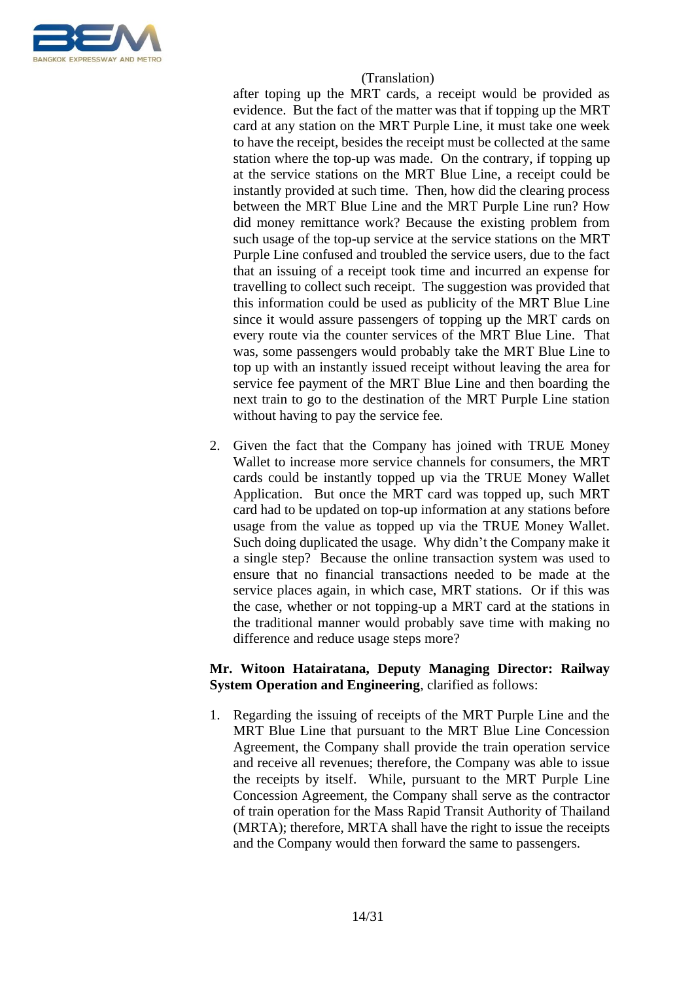

after toping up the MRT cards, a receipt would be provided as evidence. But the fact of the matter was that if topping up the MRT card at any station on the MRT Purple Line, it must take one week to have the receipt, besides the receipt must be collected at the same station where the top-up was made. On the contrary, if topping up at the service stations on the MRT Blue Line, a receipt could be instantly provided at such time. Then, how did the clearing process between the MRT Blue Line and the MRT Purple Line run? How did money remittance work? Because the existing problem from such usage of the top-up service at the service stations on the MRT Purple Line confused and troubled the service users, due to the fact that an issuing of a receipt took time and incurred an expense for travelling to collect such receipt. The suggestion was provided that this information could be used as publicity of the MRT Blue Line since it would assure passengers of topping up the MRT cards on every route via the counter services of the MRT Blue Line. That was, some passengers would probably take the MRT Blue Line to top up with an instantly issued receipt without leaving the area for service fee payment of the MRT Blue Line and then boarding the next train to go to the destination of the MRT Purple Line station without having to pay the service fee.

2. Given the fact that the Company has joined with TRUE Money Wallet to increase more service channels for consumers, the MRT cards could be instantly topped up via the TRUE Money Wallet Application. But once the MRT card was topped up, such MRT card had to be updated on top-up information at any stations before usage from the value as topped up via the TRUE Money Wallet. Such doing duplicated the usage. Why didn't the Company make it a single step? Because the online transaction system was used to ensure that no financial transactions needed to be made at the service places again, in which case, MRT stations. Or if this was the case, whether or not topping-up a MRT card at the stations in the traditional manner would probably save time with making no difference and reduce usage steps more?

# **Mr. Witoon Hatairatana, Deputy Managing Director: Railway System Operation and Engineering**, clarified as follows:

1. Regarding the issuing of receipts of the MRT Purple Line and the MRT Blue Line that pursuant to the MRT Blue Line Concession Agreement, the Company shall provide the train operation service and receive all revenues; therefore, the Company was able to issue the receipts by itself. While, pursuant to the MRT Purple Line Concession Agreement, the Company shall serve as the contractor of train operation for the Mass Rapid Transit Authority of Thailand (MRTA); therefore, MRTA shall have the right to issue the receipts and the Company would then forward the same to passengers.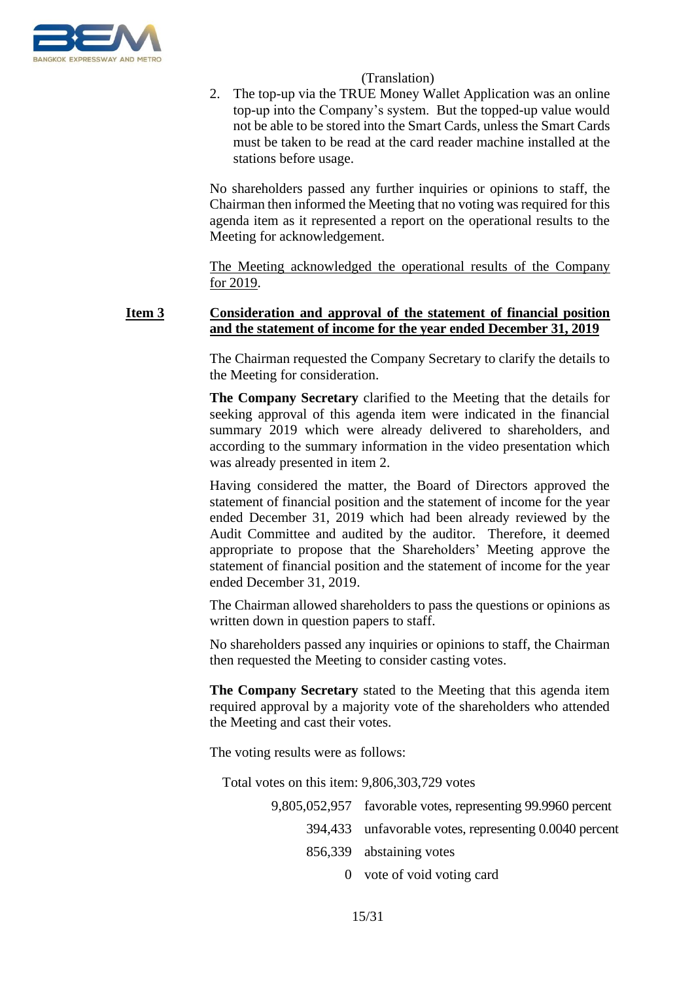

2. The top-up via the TRUE Money Wallet Application was an online top-up into the Company's system. But the topped-up value would not be able to be stored into the Smart Cards, unless the Smart Cards must be taken to be read at the card reader machine installed at the stations before usage.

No shareholders passed any further inquiries or opinions to staff, the Chairman then informed the Meeting that no voting was required for this agenda item as it represented a report on the operational results to the Meeting for acknowledgement.

The Meeting acknowledged the operational results of the Company for 2019.

# **Item 3 Consideration and approval of the statement of financial position and the statement of income for the year ended December 31, 2019**

The Chairman requested the Company Secretary to clarify the details to the Meeting for consideration.

**The Company Secretary** clarified to the Meeting that the details for seeking approval of this agenda item were indicated in the financial summary 2019 which were already delivered to shareholders, and according to the summary information in the video presentation which was already presented in item 2.

Having considered the matter, the Board of Directors approved the statement of financial position and the statement of income for the year ended December 31, 2019 which had been already reviewed by the Audit Committee and audited by the auditor. Therefore, it deemed appropriate to propose that the Shareholders' Meeting approve the statement of financial position and the statement of income for the year ended December 31, 2019.

The Chairman allowed shareholders to pass the questions or opinions as written down in question papers to staff.

No shareholders passed any inquiries or opinions to staff, the Chairman then requested the Meeting to consider casting votes.

**The Company Secretary** stated to the Meeting that this agenda item required approval by a majority vote of the shareholders who attended the Meeting and cast their votes.

The voting results were as follows:

Total votes on this item: 9,806,303,729 votes

- 9,805,052,957 favorable votes, representing 99.9960 percent 394,433 unfavorable votes, representing 0.0040 percent 856,339 abstaining votes
	- 0 vote of void voting card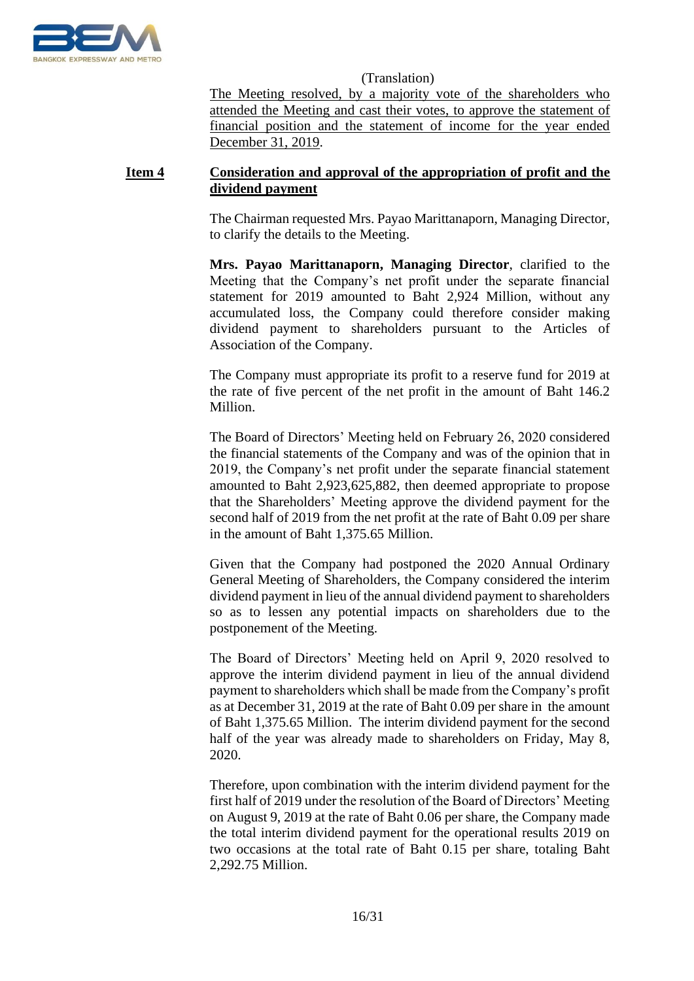

The Meeting resolved, by a majority vote of the shareholders who attended the Meeting and cast their votes, to approve the statement of financial position and the statement of income for the year ended December 31, 2019.

# **Item 4 Consideration and approval of the appropriation of profit and the dividend payment**

The Chairman requested Mrs. Payao Marittanaporn, Managing Director, to clarify the details to the Meeting.

**Mrs. Payao Marittanaporn, Managing Director**, clarified to the Meeting that the Company's net profit under the separate financial statement for 2019 amounted to Baht 2,924 Million, without any accumulated loss, the Company could therefore consider making dividend payment to shareholders pursuant to the Articles of Association of the Company.

The Company must appropriate its profit to a reserve fund for 2019 at the rate of five percent of the net profit in the amount of Baht 146.2 Million.

The Board of Directors' Meeting held on February 26, 2020 considered the financial statements of the Company and was of the opinion that in 2019, the Company's net profit under the separate financial statement amounted to Baht 2,923,625,882, then deemed appropriate to propose that the Shareholders' Meeting approve the dividend payment for the second half of 2019 from the net profit at the rate of Baht 0.09 per share in the amount of Baht 1,375.65 Million.

Given that the Company had postponed the 2020 Annual Ordinary General Meeting of Shareholders, the Company considered the interim dividend payment in lieu of the annual dividend payment to shareholders so as to lessen any potential impacts on shareholders due to the postponement of the Meeting.

The Board of Directors' Meeting held on April 9, 2020 resolved to approve the interim dividend payment in lieu of the annual dividend payment to shareholders which shall be made from the Company's profit as at December 31, 2019 at the rate of Baht 0.09 per share in the amount of Baht 1,375.65 Million. The interim dividend payment for the second half of the year was already made to shareholders on Friday, May 8, 2020.

Therefore, upon combination with the interim dividend payment for the first half of 2019 under the resolution of the Board of Directors' Meeting on August 9, 2019 at the rate of Baht 0.06 per share, the Company made the total interim dividend payment for the operational results 2019 on two occasions at the total rate of Baht 0.15 per share, totaling Baht 2,292.75 Million.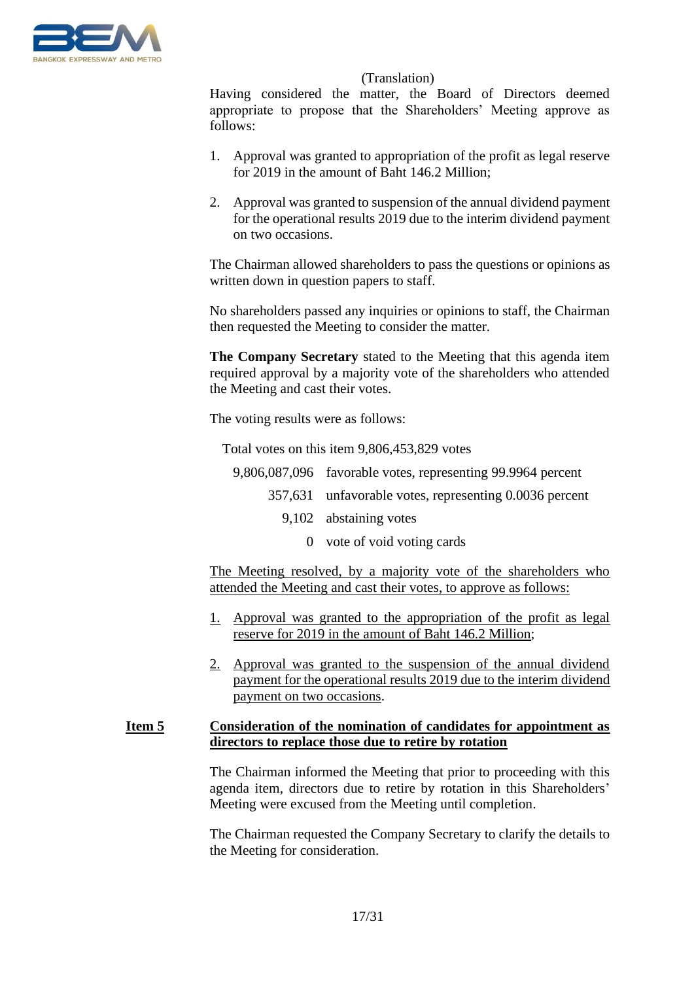

Having considered the matter, the Board of Directors deemed appropriate to propose that the Shareholders' Meeting approve as follows:

- 1. Approval was granted to appropriation of the profit as legal reserve for 2019 in the amount of Baht 146.2 Million;
- 2. Approval was granted to suspension of the annual dividend payment for the operational results 2019 due to the interim dividend payment on two occasions.

The Chairman allowed shareholders to pass the questions or opinions as written down in question papers to staff.

No shareholders passed any inquiries or opinions to staff, the Chairman then requested the Meeting to consider the matter.

**The Company Secretary** stated to the Meeting that this agenda item required approval by a majority vote of the shareholders who attended the Meeting and cast their votes.

The voting results were as follows:

Total votes on this item 9,806,453,829 votes

- 9,806,087,096 favorable votes, representing 99.9964 percent
	- 357,631 unfavorable votes, representing 0.0036 percent
		- 9,102 abstaining votes
			- 0 vote of void voting cards

The Meeting resolved, by a majority vote of the shareholders who attended the Meeting and cast their votes, to approve as follows:

- 1. Approval was granted to the appropriation of the profit as legal reserve for 2019 in the amount of Baht 146.2 Million;
- 2. Approval was granted to the suspension of the annual dividend payment for the operational results 2019 due to the interim dividend payment on two occasions.

# **Item 5 Consideration of the nomination of candidates for appointment as directors to replace those due to retire by rotation**

The Chairman informed the Meeting that prior to proceeding with this agenda item, directors due to retire by rotation in this Shareholders' Meeting were excused from the Meeting until completion.

The Chairman requested the Company Secretary to clarify the details to the Meeting for consideration.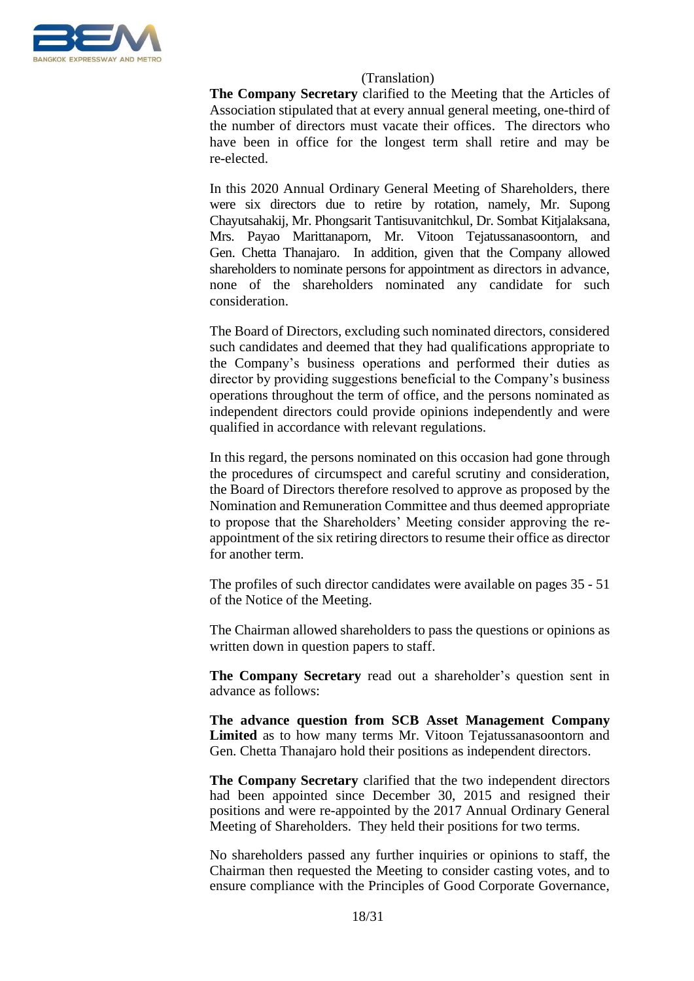

**The Company Secretary** clarified to the Meeting that the Articles of Association stipulated that at every annual general meeting, one-third of the number of directors must vacate their offices. The directors who have been in office for the longest term shall retire and may be re-elected.

In this 2020 Annual Ordinary General Meeting of Shareholders, there were six directors due to retire by rotation, namely, Mr. Supong Chayutsahakij, Mr. Phongsarit Tantisuvanitchkul, Dr. Sombat Kitjalaksana, Mrs. Payao Marittanaporn, Mr. Vitoon Tejatussanasoontorn, and Gen. Chetta Thanajaro. In addition, given that the Company allowed shareholders to nominate persons for appointment as directors in advance, none of the shareholders nominated any candidate for such consideration.

The Board of Directors, excluding such nominated directors, considered such candidates and deemed that they had qualifications appropriate to the Company's business operations and performed their duties as director by providing suggestions beneficial to the Company's business operations throughout the term of office, and the persons nominated as independent directors could provide opinions independently and were qualified in accordance with relevant regulations.

In this regard, the persons nominated on this occasion had gone through the procedures of circumspect and careful scrutiny and consideration, the Board of Directors therefore resolved to approve as proposed by the Nomination and Remuneration Committee and thus deemed appropriate to propose that the Shareholders' Meeting consider approving the reappointment of the six retiring directors to resume their office as director for another term.

The profiles of such director candidates were available on pages 35 - 51 of the Notice of the Meeting.

The Chairman allowed shareholders to pass the questions or opinions as written down in question papers to staff.

**The Company Secretary** read out a shareholder's question sent in advance as follows:

**The advance question from SCB Asset Management Company**  Limited as to how many terms Mr. Vitoon Tejatussanasoontorn and Gen. Chetta Thanajaro hold their positions as independent directors.

**The Company Secretary** clarified that the two independent directors had been appointed since December 30, 2015 and resigned their positions and were re-appointed by the 2017 Annual Ordinary General Meeting of Shareholders. They held their positions for two terms.

No shareholders passed any further inquiries or opinions to staff, the Chairman then requested the Meeting to consider casting votes, and to ensure compliance with the Principles of Good Corporate Governance,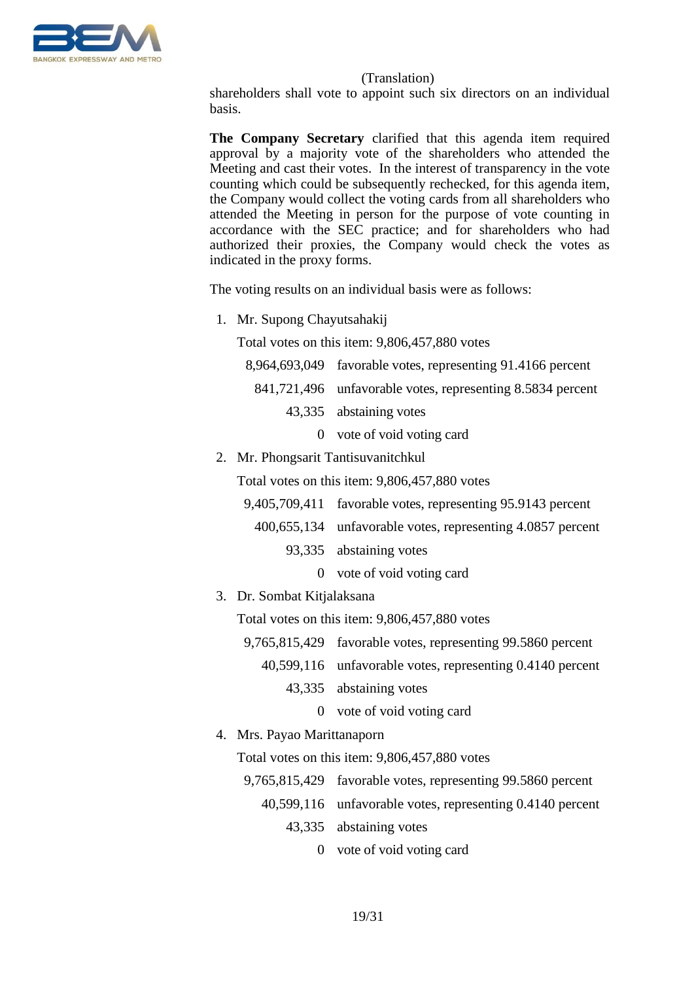

shareholders shall vote to appoint such six directors on an individual basis.

**The Company Secretary** clarified that this agenda item required approval by a majority vote of the shareholders who attended the Meeting and cast their votes. In the interest of transparency in the vote counting which could be subsequently rechecked, for this agenda item, the Company would collect the voting cards from all shareholders who attended the Meeting in person for the purpose of vote counting in accordance with the SEC practice; and for shareholders who had authorized their proxies, the Company would check the votes as indicated in the proxy forms.

The voting results on an individual basis were as follows:

1. Mr. Supong Chayutsahakij

Total votes on this item: 9,806,457,880 votes

- 8,964,693,049 favorable votes, representing 91.4166 percent 841,721,496 unfavorable votes, representing 8.5834 percent 43,335 abstaining votes
	- 0 vote of void voting card
- 2. Mr. Phongsarit Tantisuvanitchkul

Total votes on this item: 9,806,457,880 votes

- 9,405,709,411 favorable votes, representing 95.9143 percent
	- 400,655,134 unfavorable votes, representing 4.0857 percent
		- 93,335 abstaining votes
			- 0 vote of void voting card
- 3. Dr. Sombat Kitjalaksana

Total votes on this item: 9,806,457,880 votes

- 9,765,815,429 favorable votes, representing 99.5860 percent
	- 40,599,116 unfavorable votes, representing 0.4140 percent
		- 43,335 abstaining votes
			- 0 vote of void voting card
- 4. Mrs. Payao Marittanaporn

Total votes on this item: 9,806,457,880 votes

- 9,765,815,429 favorable votes, representing 99.5860 percent
	- 40,599,116 unfavorable votes, representing 0.4140 percent
		- 43,335 abstaining votes
			- 0 vote of void voting card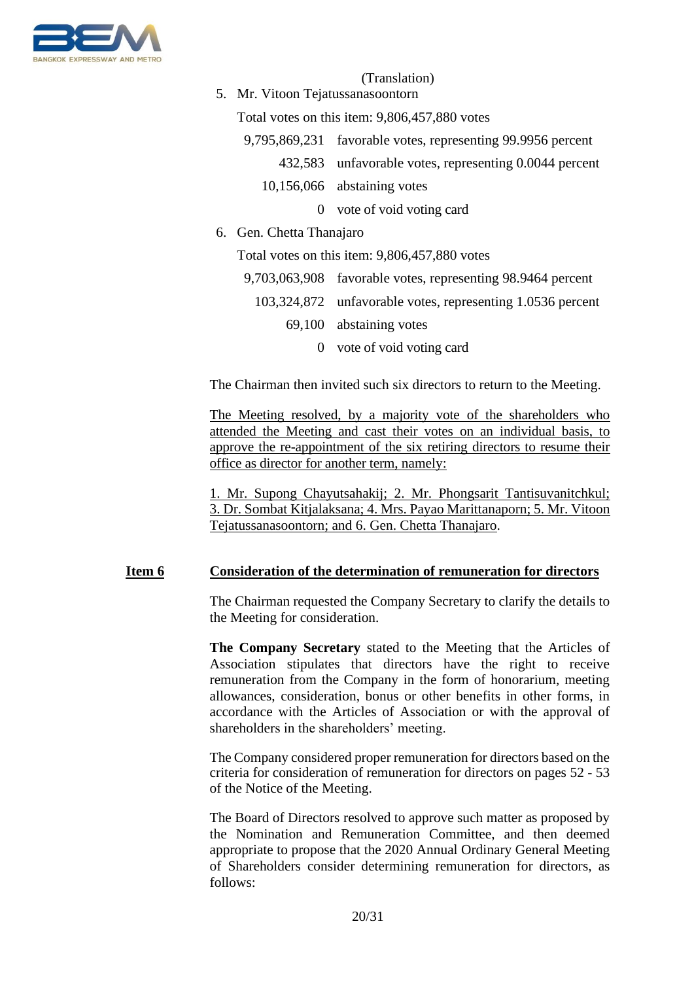

5. Mr. Vitoon Tejatussanasoontorn

Total votes on this item: 9,806,457,880 votes

- 9,795,869,231 favorable votes, representing 99.9956 percent
	- 432,583 unfavorable votes, representing 0.0044 percent
	- 10,156,066 abstaining votes
		- 0 vote of void voting card
- 6. Gen. Chetta Thanajaro

Total votes on this item: 9,806,457,880 votes

- 9,703,063,908 favorable votes, representing 98.9464 percent
	- 103,324,872 unfavorable votes, representing 1.0536 percent
		- 69,100 abstaining votes
			- 0 vote of void voting card

The Chairman then invited such six directors to return to the Meeting.

The Meeting resolved, by a majority vote of the shareholders who attended the Meeting and cast their votes on an individual basis, to approve the re-appointment of the six retiring directors to resume their office as director for another term, namely:

1. Mr. Supong Chayutsahakij; 2. Mr. Phongsarit Tantisuvanitchkul; 3. Dr. Sombat Kitjalaksana; 4. Mrs. Payao Marittanaporn; 5. Mr. Vitoon Tejatussanasoontorn; and 6. Gen. Chetta Thanajaro.

#### **Item 6 Consideration of the determination of remuneration for directors**

The Chairman requested the Company Secretary to clarify the details to the Meeting for consideration.

**The Company Secretary** stated to the Meeting that the Articles of Association stipulates that directors have the right to receive remuneration from the Company in the form of honorarium, meeting allowances, consideration, bonus or other benefits in other forms, in accordance with the Articles of Association or with the approval of shareholders in the shareholders' meeting.

The Company considered proper remuneration for directors based on the criteria for consideration of remuneration for directors on pages 52 - 53 of the Notice of the Meeting.

The Board of Directors resolved to approve such matter as proposed by the Nomination and Remuneration Committee, and then deemed appropriate to propose that the 2020 Annual Ordinary General Meeting of Shareholders consider determining remuneration for directors, as follows: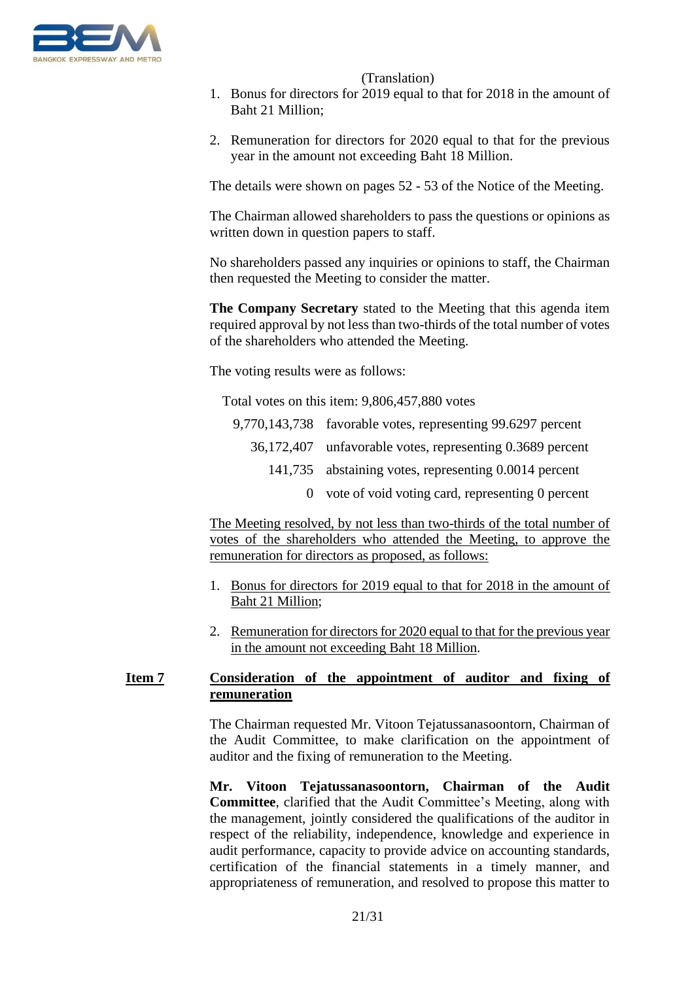

- 1. Bonus for directors for 2019 equal to that for 2018 in the amount of Baht 21 Million;
- 2. Remuneration for directors for 2020 equal to that for the previous year in the amount not exceeding Baht 18 Million.

The details were shown on pages 52 - 53 of the Notice of the Meeting.

The Chairman allowed shareholders to pass the questions or opinions as written down in question papers to staff.

No shareholders passed any inquiries or opinions to staff, the Chairman then requested the Meeting to consider the matter.

**The Company Secretary** stated to the Meeting that this agenda item required approval by not less than two-thirds of the total number of votes of the shareholders who attended the Meeting.

The voting results were as follows:

Total votes on this item: 9,806,457,880 votes

- 9,770,143,738 favorable votes, representing 99.6297 percent 36,172,407 unfavorable votes, representing 0.3689 percent 141,735 abstaining votes, representing 0.0014 percent
	- 0 vote of void voting card, representing 0 percent

The Meeting resolved, by not less than two-thirds of the total number of votes of the shareholders who attended the Meeting, to approve the remuneration for directors as proposed, as follows:

- 1. Bonus for directors for 2019 equal to that for 2018 in the amount of Baht 21 Million;
- 2. Remuneration for directors for 2020 equal to that for the previous year in the amount not exceeding Baht 18 Million.

# **Item 7 Consideration of the appointment of auditor and fixing of remuneration**

The Chairman requested Mr. Vitoon Tejatussanasoontorn, Chairman of the Audit Committee, to make clarification on the appointment of auditor and the fixing of remuneration to the Meeting.

**Mr. Vitoon Tejatussanasoontorn, Chairman of the Audit Committee**, clarified that the Audit Committee's Meeting, along with the management, jointly considered the qualifications of the auditor in respect of the reliability, independence, knowledge and experience in audit performance, capacity to provide advice on accounting standards, certification of the financial statements in a timely manner, and appropriateness of remuneration, and resolved to propose this matter to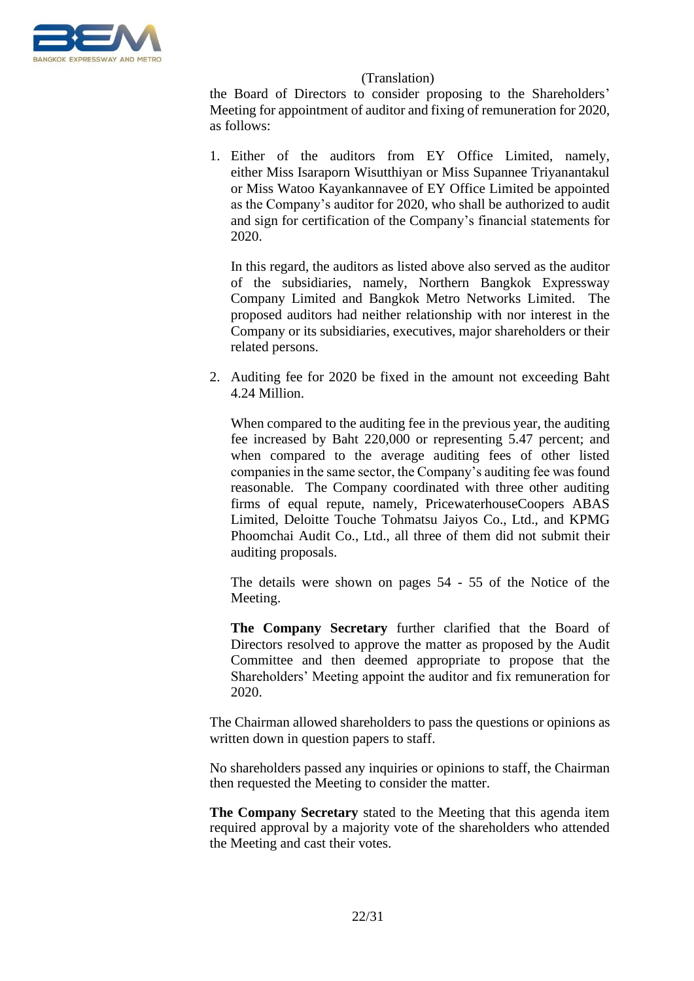

the Board of Directors to consider proposing to the Shareholders' Meeting for appointment of auditor and fixing of remuneration for 2020, as follows:

1. Either of the auditors from EY Office Limited, namely, either Miss Isaraporn Wisutthiyan or Miss Supannee Triyanantakul or Miss Watoo Kayankannavee of EY Office Limited be appointed as the Company's auditor for 2020, who shall be authorized to audit and sign for certification of the Company's financial statements for 2020.

In this regard, the auditors as listed above also served as the auditor of the subsidiaries, namely, Northern Bangkok Expressway Company Limited and Bangkok Metro Networks Limited. The proposed auditors had neither relationship with nor interest in the Company or its subsidiaries, executives, major shareholders or their related persons.

2. Auditing fee for 2020 be fixed in the amount not exceeding Baht 4.24 Million.

When compared to the auditing fee in the previous year, the auditing fee increased by Baht 220,000 or representing 5.47 percent; and when compared to the average auditing fees of other listed companies in the same sector, the Company's auditing fee was found reasonable. The Company coordinated with three other auditing firms of equal repute, namely, PricewaterhouseCoopers ABAS Limited, Deloitte Touche Tohmatsu Jaiyos Co., Ltd., and KPMG Phoomchai Audit Co., Ltd., all three of them did not submit their auditing proposals.

The details were shown on pages 54 - 55 of the Notice of the Meeting.

**The Company Secretary** further clarified that the Board of Directors resolved to approve the matter as proposed by the Audit Committee and then deemed appropriate to propose that the Shareholders' Meeting appoint the auditor and fix remuneration for 2020.

The Chairman allowed shareholders to pass the questions or opinions as written down in question papers to staff.

No shareholders passed any inquiries or opinions to staff, the Chairman then requested the Meeting to consider the matter.

**The Company Secretary** stated to the Meeting that this agenda item required approval by a majority vote of the shareholders who attended the Meeting and cast their votes.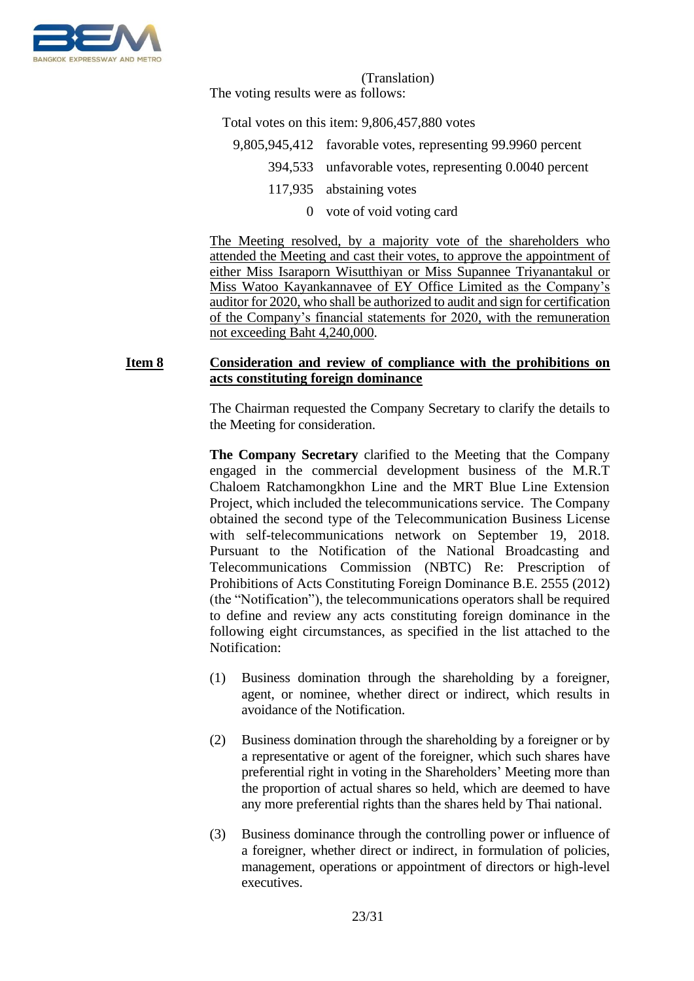

The voting results were as follows:

Total votes on this item: 9,806,457,880 votes

- 9,805,945,412 favorable votes, representing 99.9960 percent
	- 394,533 unfavorable votes, representing 0.0040 percent
		- 117,935 abstaining votes
			- 0 vote of void voting card

The Meeting resolved, by a majority vote of the shareholders who attended the Meeting and cast their votes, to approve the appointment of either Miss Isaraporn Wisutthiyan or Miss Supannee Triyanantakul or Miss Watoo Kayankannavee of EY Office Limited as the Company's auditor for 2020, who shall be authorized to audit and sign for certification of the Company's financial statements for 2020, with the remuneration not exceeding Baht 4,240,000.

# **Item 8 Consideration and review of compliance with the prohibitions on acts constituting foreign dominance**

The Chairman requested the Company Secretary to clarify the details to the Meeting for consideration.

**The Company Secretary** clarified to the Meeting that the Company engaged in the commercial development business of the M.R.T Chaloem Ratchamongkhon Line and the MRT Blue Line Extension Project, which included the telecommunications service. The Company obtained the second type of the Telecommunication Business License with self-telecommunications network on September 19, 2018. Pursuant to the Notification of the National Broadcasting and Telecommunications Commission (NBTC) Re: Prescription of Prohibitions of Acts Constituting Foreign Dominance B.E. 2555 (2012) (the "Notification"), the telecommunications operators shall be required to define and review any acts constituting foreign dominance in the following eight circumstances, as specified in the list attached to the Notification:

- (1) Business domination through the shareholding by a foreigner, agent, or nominee, whether direct or indirect, which results in avoidance of the Notification.
- (2) Business domination through the shareholding by a foreigner or by a representative or agent of the foreigner, which such shares have preferential right in voting in the Shareholders' Meeting more than the proportion of actual shares so held, which are deemed to have any more preferential rights than the shares held by Thai national.
- (3) Business dominance through the controlling power or influence of a foreigner, whether direct or indirect, in formulation of policies, management, operations or appointment of directors or high-level executives.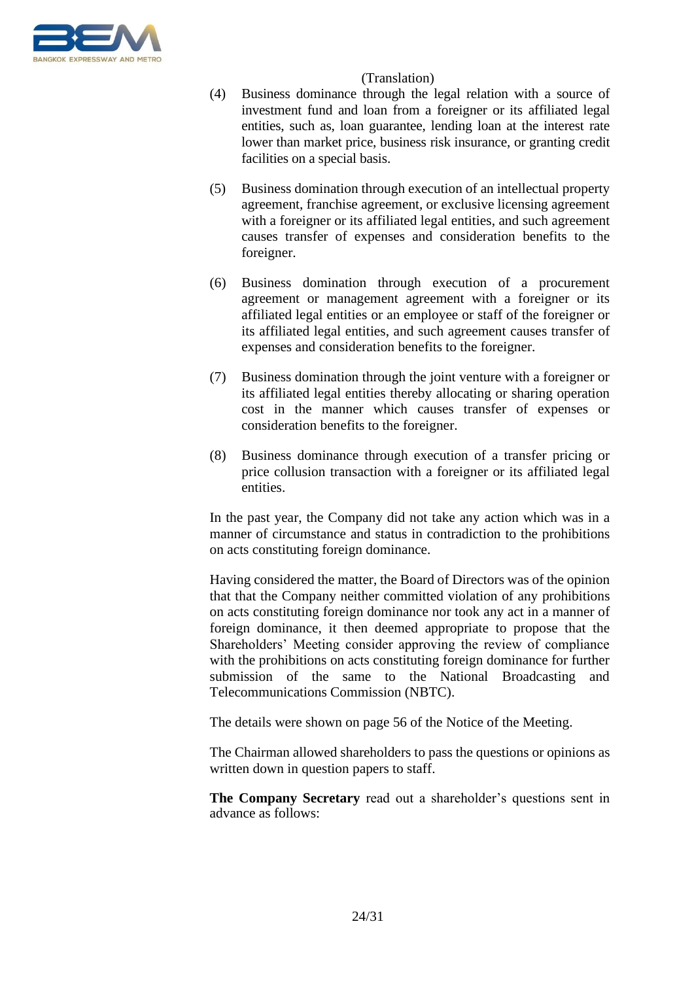

- (4) Business dominance through the legal relation with a source of investment fund and loan from a foreigner or its affiliated legal entities, such as, loan guarantee, lending loan at the interest rate lower than market price, business risk insurance, or granting credit facilities on a special basis.
- (5) Business domination through execution of an intellectual property agreement, franchise agreement, or exclusive licensing agreement with a foreigner or its affiliated legal entities, and such agreement causes transfer of expenses and consideration benefits to the foreigner.
- (6) Business domination through execution of a procurement agreement or management agreement with a foreigner or its affiliated legal entities or an employee or staff of the foreigner or its affiliated legal entities, and such agreement causes transfer of expenses and consideration benefits to the foreigner.
- (7) Business domination through the joint venture with a foreigner or its affiliated legal entities thereby allocating or sharing operation cost in the manner which causes transfer of expenses or consideration benefits to the foreigner.
- (8) Business dominance through execution of a transfer pricing or price collusion transaction with a foreigner or its affiliated legal entities.

In the past year, the Company did not take any action which was in a manner of circumstance and status in contradiction to the prohibitions on acts constituting foreign dominance.

Having considered the matter, the Board of Directors was of the opinion that that the Company neither committed violation of any prohibitions on acts constituting foreign dominance nor took any act in a manner of foreign dominance, it then deemed appropriate to propose that the Shareholders' Meeting consider approving the review of compliance with the prohibitions on acts constituting foreign dominance for further submission of the same to the National Broadcasting and Telecommunications Commission (NBTC).

The details were shown on page 56 of the Notice of the Meeting.

The Chairman allowed shareholders to pass the questions or opinions as written down in question papers to staff.

**The Company Secretary** read out a shareholder's questions sent in advance as follows: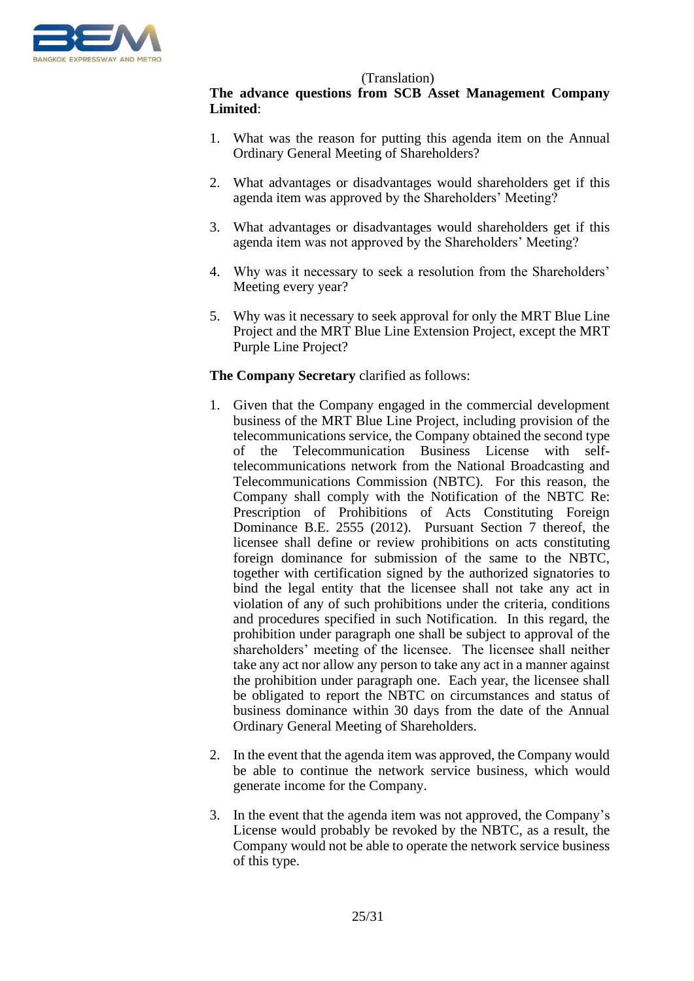

# **The advance questions from SCB Asset Management Company Limited**:

- 1. What was the reason for putting this agenda item on the Annual Ordinary General Meeting of Shareholders?
- 2. What advantages or disadvantages would shareholders get if this agenda item was approved by the Shareholders' Meeting?
- 3. What advantages or disadvantages would shareholders get if this agenda item was not approved by the Shareholders' Meeting?
- 4. Why was it necessary to seek a resolution from the Shareholders' Meeting every year?
- 5. Why was it necessary to seek approval for only the MRT Blue Line Project and the MRT Blue Line Extension Project, except the MRT Purple Line Project?

# **The Company Secretary** clarified as follows:

- 1. Given that the Company engaged in the commercial development business of the MRT Blue Line Project, including provision of the telecommunications service, the Company obtained the second type of the Telecommunication Business License with selftelecommunications network from the National Broadcasting and Telecommunications Commission (NBTC). For this reason, the Company shall comply with the Notification of the NBTC Re: Prescription of Prohibitions of Acts Constituting Foreign Dominance B.E. 2555 (2012). Pursuant Section 7 thereof, the licensee shall define or review prohibitions on acts constituting foreign dominance for submission of the same to the NBTC, together with certification signed by the authorized signatories to bind the legal entity that the licensee shall not take any act in violation of any of such prohibitions under the criteria, conditions and procedures specified in such Notification. In this regard, the prohibition under paragraph one shall be subject to approval of the shareholders' meeting of the licensee. The licensee shall neither take any act nor allow any person to take any act in a manner against the prohibition under paragraph one. Each year, the licensee shall be obligated to report the NBTC on circumstances and status of business dominance within 30 days from the date of the Annual Ordinary General Meeting of Shareholders.
- 2. In the event that the agenda item was approved, the Company would be able to continue the network service business, which would generate income for the Company.
- 3. In the event that the agenda item was not approved, the Company's License would probably be revoked by the NBTC, as a result, the Company would not be able to operate the network service business of this type.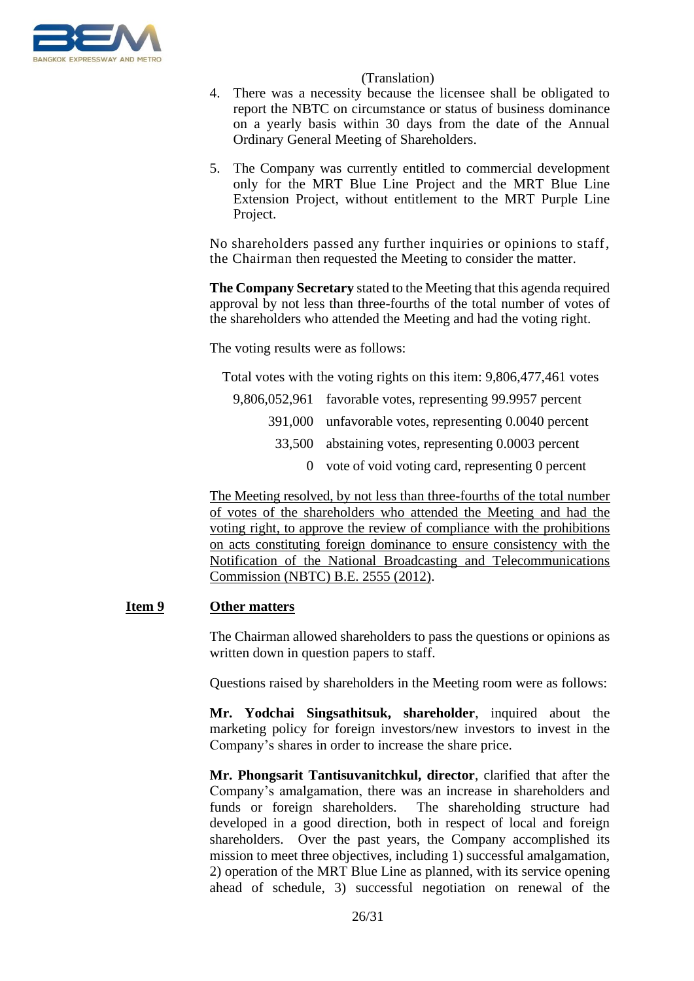

- 4. There was a necessity because the licensee shall be obligated to report the NBTC on circumstance or status of business dominance on a yearly basis within 30 days from the date of the Annual Ordinary General Meeting of Shareholders.
- 5. The Company was currently entitled to commercial development only for the MRT Blue Line Project and the MRT Blue Line Extension Project, without entitlement to the MRT Purple Line Project.

No shareholders passed any further inquiries or opinions to staff, the Chairman then requested the Meeting to consider the matter.

**The Company Secretary** stated to the Meeting that this agenda required approval by not less than three-fourths of the total number of votes of the shareholders who attended the Meeting and had the voting right.

The voting results were as follows:

Total votes with the voting rights on this item: 9,806,477,461 votes

- 9,806,052,961 favorable votes, representing 99.9957 percent 391,000 unfavorable votes, representing 0.0040 percent 33,500 abstaining votes, representing 0.0003 percent
	- 0 vote of void voting card, representing 0 percent

The Meeting resolved, by not less than three-fourths of the total number of votes of the shareholders who attended the Meeting and had the voting right, to approve the review of compliance with the prohibitions on acts constituting foreign dominance to ensure consistency with the Notification of the National Broadcasting and Telecommunications Commission (NBTC) B.E. 2555 (2012).

# **Item 9 Other matters**

The Chairman allowed shareholders to pass the questions or opinions as written down in question papers to staff.

Questions raised by shareholders in the Meeting room were as follows:

**Mr. Yodchai Singsathitsuk, shareholder**, inquired about the marketing policy for foreign investors/new investors to invest in the Company's shares in order to increase the share price.

**Mr. Phongsarit Tantisuvanitchkul, director**, clarified that after the Company's amalgamation, there was an increase in shareholders and funds or foreign shareholders. The shareholding structure had developed in a good direction, both in respect of local and foreign shareholders. Over the past years, the Company accomplished its mission to meet three objectives, including 1) successful amalgamation, 2) operation of the MRT Blue Line as planned, with its service opening ahead of schedule, 3) successful negotiation on renewal of the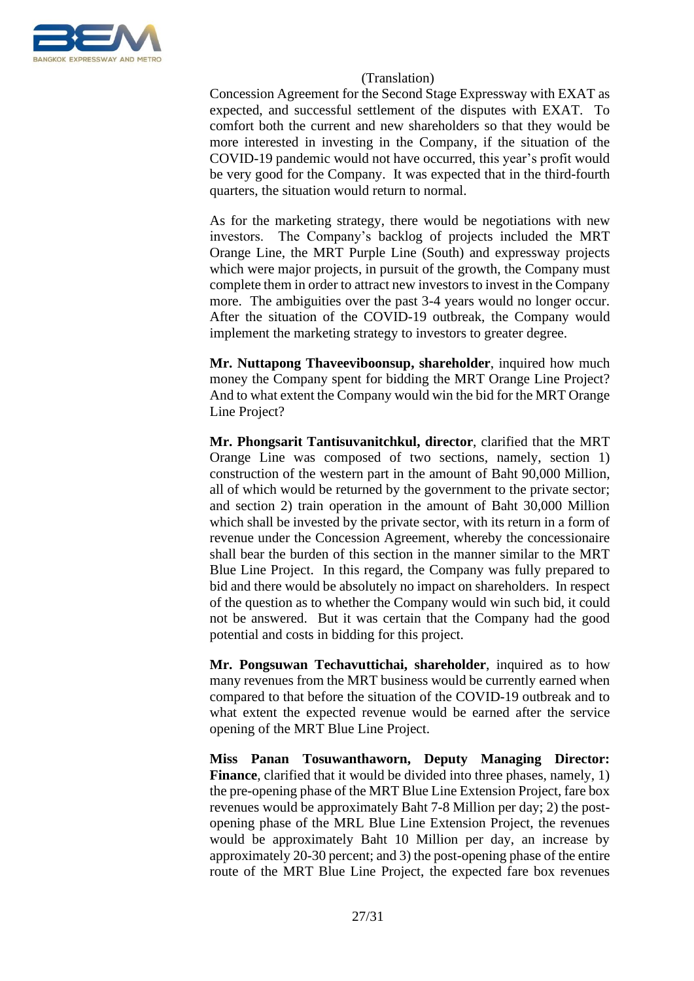

Concession Agreement for the Second Stage Expressway with EXAT as expected, and successful settlement of the disputes with EXAT. To comfort both the current and new shareholders so that they would be more interested in investing in the Company, if the situation of the COVID-19 pandemic would not have occurred, this year's profit would be very good for the Company. It was expected that in the third-fourth quarters, the situation would return to normal.

As for the marketing strategy, there would be negotiations with new investors. The Company's backlog of projects included the MRT Orange Line, the MRT Purple Line (South) and expressway projects which were major projects, in pursuit of the growth, the Company must complete them in order to attract new investors to invest in the Company more. The ambiguities over the past 3-4 years would no longer occur. After the situation of the COVID-19 outbreak, the Company would implement the marketing strategy to investors to greater degree.

**Mr. Nuttapong Thaveeviboonsup, shareholder**, inquired how much money the Company spent for bidding the MRT Orange Line Project? And to what extent the Company would win the bid for the MRT Orange Line Project?

**Mr. Phongsarit Tantisuvanitchkul, director**, clarified that the MRT Orange Line was composed of two sections, namely, section 1) construction of the western part in the amount of Baht 90,000 Million, all of which would be returned by the government to the private sector; and section 2) train operation in the amount of Baht 30,000 Million which shall be invested by the private sector, with its return in a form of revenue under the Concession Agreement, whereby the concessionaire shall bear the burden of this section in the manner similar to the MRT Blue Line Project. In this regard, the Company was fully prepared to bid and there would be absolutely no impact on shareholders. In respect of the question as to whether the Company would win such bid, it could not be answered. But it was certain that the Company had the good potential and costs in bidding for this project.

**Mr. Pongsuwan Techavuttichai, shareholder**, inquired as to how many revenues from the MRT business would be currently earned when compared to that before the situation of the COVID-19 outbreak and to what extent the expected revenue would be earned after the service opening of the MRT Blue Line Project.

**Miss Panan Tosuwanthaworn, Deputy Managing Director: Finance**, clarified that it would be divided into three phases, namely, 1) the pre-opening phase of the MRT Blue Line Extension Project, fare box revenues would be approximately Baht 7-8 Million per day; 2) the postopening phase of the MRL Blue Line Extension Project, the revenues would be approximately Baht 10 Million per day, an increase by approximately 20-30 percent; and 3) the post-opening phase of the entire route of the MRT Blue Line Project, the expected fare box revenues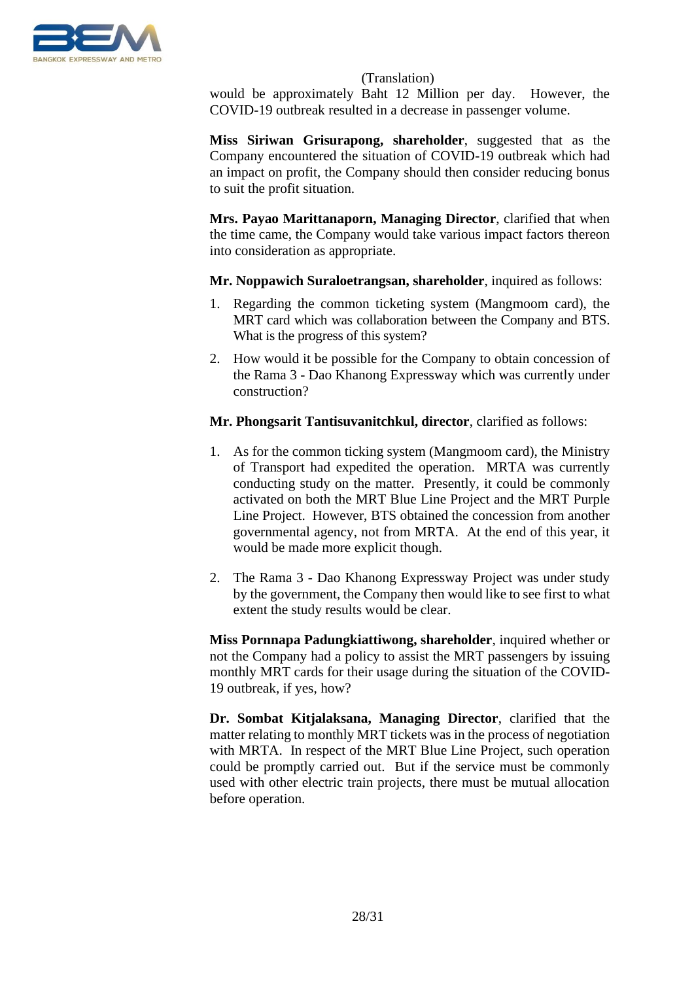

would be approximately Baht 12 Million per day. However, the COVID-19 outbreak resulted in a decrease in passenger volume.

**Miss Siriwan Grisurapong, shareholder**, suggested that as the Company encountered the situation of COVID-19 outbreak which had an impact on profit, the Company should then consider reducing bonus to suit the profit situation.

**Mrs. Payao Marittanaporn, Managing Director**, clarified that when the time came, the Company would take various impact factors thereon into consideration as appropriate.

**Mr. Noppawich Suraloetrangsan, shareholder**, inquired as follows:

- 1. Regarding the common ticketing system (Mangmoom card), the MRT card which was collaboration between the Company and BTS. What is the progress of this system?
- 2. How would it be possible for the Company to obtain concession of the Rama 3 - Dao Khanong Expressway which was currently under construction?

**Mr. Phongsarit Tantisuvanitchkul, director**, clarified as follows:

- 1. As for the common ticking system (Mangmoom card), the Ministry of Transport had expedited the operation. MRTA was currently conducting study on the matter. Presently, it could be commonly activated on both the MRT Blue Line Project and the MRT Purple Line Project. However, BTS obtained the concession from another governmental agency, not from MRTA. At the end of this year, it would be made more explicit though.
- 2. The Rama 3 Dao Khanong Expressway Project was under study by the government, the Company then would like to see first to what extent the study results would be clear.

**Miss Pornnapa Padungkiattiwong, shareholder**, inquired whether or not the Company had a policy to assist the MRT passengers by issuing monthly MRT cards for their usage during the situation of the COVID-19 outbreak, if yes, how?

**Dr. Sombat Kitjalaksana, Managing Director**, clarified that the matter relating to monthly MRT tickets was in the process of negotiation with MRTA. In respect of the MRT Blue Line Project, such operation could be promptly carried out. But if the service must be commonly used with other electric train projects, there must be mutual allocation before operation.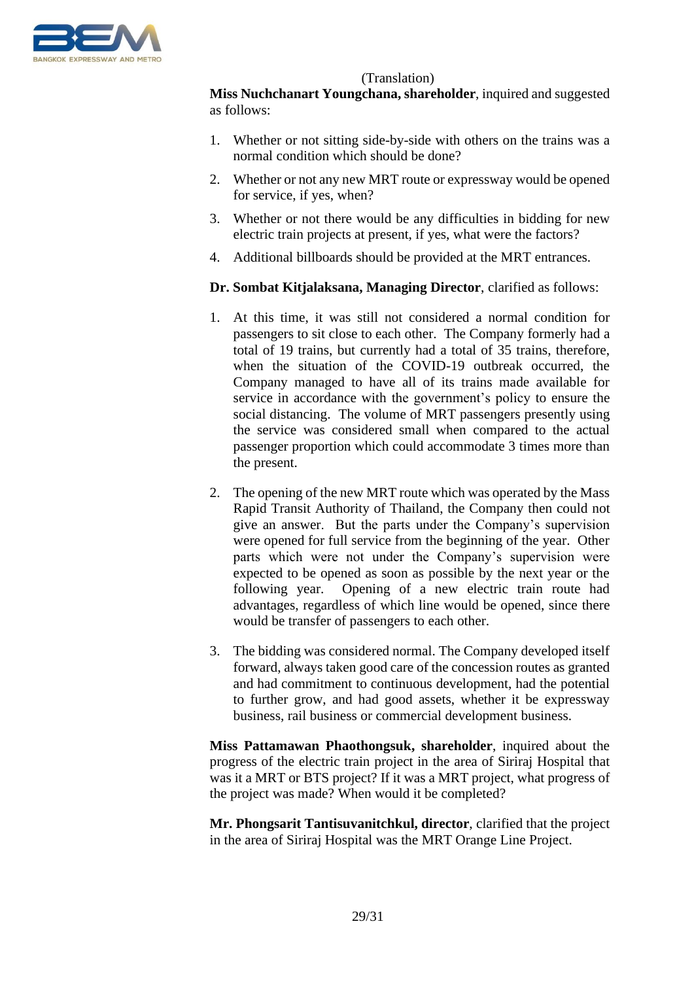

**Miss Nuchchanart Youngchana, shareholder**, inquired and suggested as follows:

- 1. Whether or not sitting side-by-side with others on the trains was a normal condition which should be done?
- 2. Whether or not any new MRT route or expressway would be opened for service, if yes, when?
- 3. Whether or not there would be any difficulties in bidding for new electric train projects at present, if yes, what were the factors?
- 4. Additional billboards should be provided at the MRT entrances.

**Dr. Sombat Kitjalaksana, Managing Director**, clarified as follows:

- 1. At this time, it was still not considered a normal condition for passengers to sit close to each other. The Company formerly had a total of 19 trains, but currently had a total of 35 trains, therefore, when the situation of the COVID-19 outbreak occurred, the Company managed to have all of its trains made available for service in accordance with the government's policy to ensure the social distancing. The volume of MRT passengers presently using the service was considered small when compared to the actual passenger proportion which could accommodate 3 times more than the present.
- 2. The opening of the new MRT route which was operated by the Mass Rapid Transit Authority of Thailand, the Company then could not give an answer. But the parts under the Company's supervision were opened for full service from the beginning of the year. Other parts which were not under the Company's supervision were expected to be opened as soon as possible by the next year or the following year. Opening of a new electric train route had advantages, regardless of which line would be opened, since there would be transfer of passengers to each other.
- 3. The bidding was considered normal. The Company developed itself forward, always taken good care of the concession routes as granted and had commitment to continuous development, had the potential to further grow, and had good assets, whether it be expressway business, rail business or commercial development business.

**Miss Pattamawan Phaothongsuk, shareholder**, inquired about the progress of the electric train project in the area of Siriraj Hospital that was it a MRT or BTS project? If it was a MRT project, what progress of the project was made? When would it be completed?

**Mr. Phongsarit Tantisuvanitchkul, director**, clarified that the project in the area of Siriraj Hospital was the MRT Orange Line Project.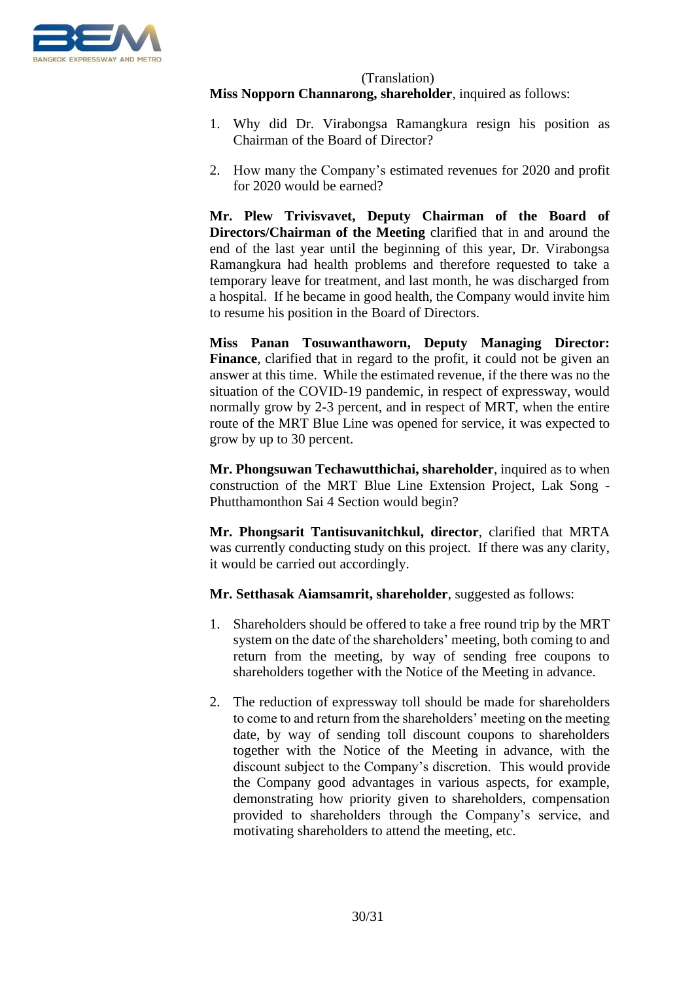

## (Translation) **Miss Nopporn Channarong, shareholder**, inquired as follows:

- 1. Why did Dr. Virabongsa Ramangkura resign his position as Chairman of the Board of Director?
- 2. How many the Company's estimated revenues for 2020 and profit for 2020 would be earned?

**Mr. Plew Trivisvavet, Deputy Chairman of the Board of Directors/Chairman of the Meeting** clarified that in and around the end of the last year until the beginning of this year, Dr. Virabongsa Ramangkura had health problems and therefore requested to take a temporary leave for treatment, and last month, he was discharged from a hospital. If he became in good health, the Company would invite him to resume his position in the Board of Directors.

**Miss Panan Tosuwanthaworn, Deputy Managing Director:**  Finance, clarified that in regard to the profit, it could not be given an answer at this time. While the estimated revenue, if the there was no the situation of the COVID-19 pandemic, in respect of expressway, would normally grow by 2-3 percent, and in respect of MRT, when the entire route of the MRT Blue Line was opened for service, it was expected to grow by up to 30 percent.

**Mr. Phongsuwan Techawutthichai, shareholder**, inquired as to when construction of the MRT Blue Line Extension Project, Lak Song - Phutthamonthon Sai 4 Section would begin?

**Mr. Phongsarit Tantisuvanitchkul, director**, clarified that MRTA was currently conducting study on this project. If there was any clarity, it would be carried out accordingly.

**Mr. Setthasak Aiamsamrit, shareholder**, suggested as follows:

- 1. Shareholders should be offered to take a free round trip by the MRT system on the date of the shareholders' meeting, both coming to and return from the meeting, by way of sending free coupons to shareholders together with the Notice of the Meeting in advance.
- 2. The reduction of expressway toll should be made for shareholders to come to and return from the shareholders' meeting on the meeting date, by way of sending toll discount coupons to shareholders together with the Notice of the Meeting in advance, with the discount subject to the Company's discretion. This would provide the Company good advantages in various aspects, for example, demonstrating how priority given to shareholders, compensation provided to shareholders through the Company's service, and motivating shareholders to attend the meeting, etc.